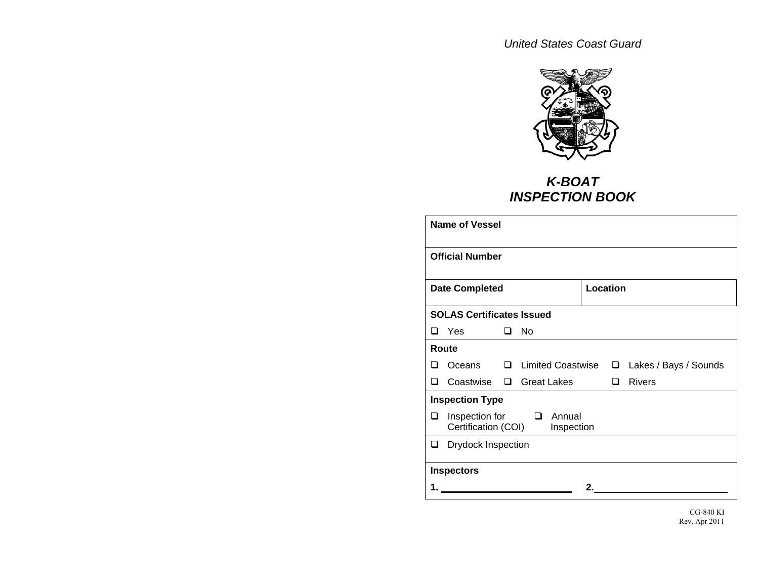

## *K-BOAT INSPECTION BOOK*

| <b>Name of Vessel</b>   |                                                                         |  |                              |    |   |                              |  |
|-------------------------|-------------------------------------------------------------------------|--|------------------------------|----|---|------------------------------|--|
|                         | <b>Official Number</b>                                                  |  |                              |    |   |                              |  |
|                         | Location<br><b>Date Completed</b>                                       |  |                              |    |   |                              |  |
|                         | <b>SOLAS Certificates Issued</b>                                        |  |                              |    |   |                              |  |
| ◻                       | Yes                                                                     |  | $\square$ No                 |    |   |                              |  |
|                         | Route                                                                   |  |                              |    |   |                              |  |
| ப                       | Oceans                                                                  |  | □ Limited Coastwise          |    |   | $\Box$ Lakes / Bays / Sounds |  |
| ┒                       |                                                                         |  | Coastwise $\Box$ Great Lakes |    | ◻ | <b>Rivers</b>                |  |
|                         | <b>Inspection Type</b>                                                  |  |                              |    |   |                              |  |
| ப                       | Annual<br>Inspection for<br>$\Box$<br>Certification (COI)<br>Inspection |  |                              |    |   |                              |  |
| Drydock Inspection<br>❏ |                                                                         |  |                              |    |   |                              |  |
| <b>Inspectors</b>       |                                                                         |  |                              |    |   |                              |  |
|                         |                                                                         |  |                              | 2. |   |                              |  |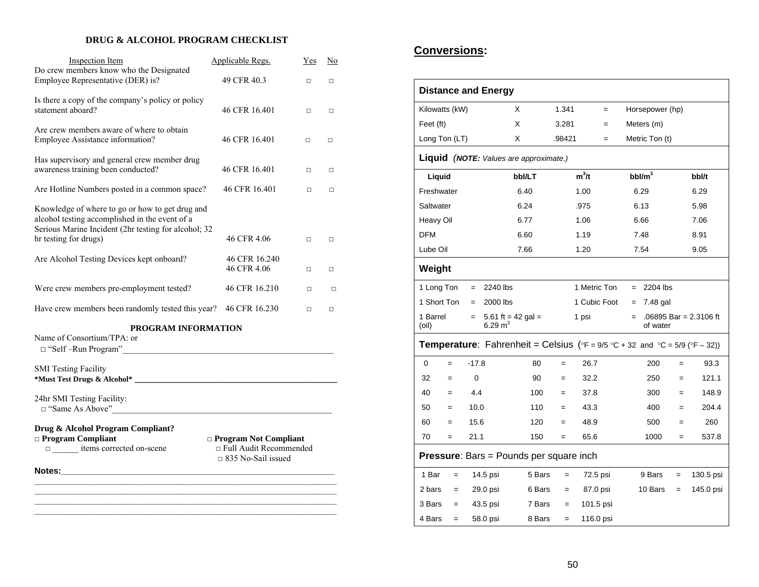#### **DRUG & ALCOHOL PROGRAM CHECKLIST**

| <b>Inspection Item</b>                                                                                                                                                             | Applicable Regs.                                                                         | <b>Yes</b> | $\overline{\text{No}}$ |
|------------------------------------------------------------------------------------------------------------------------------------------------------------------------------------|------------------------------------------------------------------------------------------|------------|------------------------|
| Do crew members know who the Designated<br>Employee Representative (DER) is?                                                                                                       | 49 CFR 40.3                                                                              | $\Box$     | $\Box$                 |
| Is there a copy of the company's policy or policy<br>statement aboard?                                                                                                             | 46 CFR 16.401                                                                            | $\Box$     | $\Box$                 |
| Are crew members aware of where to obtain<br>Employee Assistance information?                                                                                                      | 46 CFR 16.401                                                                            | $\Box$     | $\Box$                 |
| Has supervisory and general crew member drug<br>awareness training been conducted?                                                                                                 | 46 CFR 16.401                                                                            | $\Box$     | □                      |
| Are Hotline Numbers posted in a common space?                                                                                                                                      | 46 CFR 16.401                                                                            | □          | □                      |
| Knowledge of where to go or how to get drug and<br>alcohol testing accomplished in the event of a<br>Serious Marine Incident (2hr testing for alcohol; 32<br>hr testing for drugs) | 46 CFR 4.06                                                                              | $\Box$     | $\Box$                 |
| Are Alcohol Testing Devices kept onboard?                                                                                                                                          | 46 CFR 16.240<br>46 CFR 4.06                                                             | $\Box$     | $\Box$                 |
| Were crew members pre-employment tested?                                                                                                                                           | 46 CFR 16.210                                                                            | $\Box$     | $\Box$                 |
| Have crew members been randomly tested this year? 46 CFR 16.230                                                                                                                    |                                                                                          | $\Box$     | $\Box$                 |
| <b>PROGRAM INFORMATION</b><br>Name of Consortium/TPA: or<br>$\Box$ "Self-Run Program"<br><b>SMI</b> Testing Facility                                                               |                                                                                          |            |                        |
| 24hr SMI Testing Facility:                                                                                                                                                         |                                                                                          |            |                        |
| Drug & Alcohol Program Compliant?<br>$\Box$ Program Compliant<br>□ ______ items corrected on-scene                                                                                 | <b>De Program Not Compliant</b><br>□ Full Audit Recommended<br>$\Box$ 835 No-Sail issued |            |                        |
|                                                                                                                                                                                    |                                                                                          |            |                        |

### **Conversions:**

|                                                                                                                                 | <b>Distance and Energy</b>                      |        |        |              |  |                    |     |                        |
|---------------------------------------------------------------------------------------------------------------------------------|-------------------------------------------------|--------|--------|--------------|--|--------------------|-----|------------------------|
| Kilowatts (kW)                                                                                                                  |                                                 | X      | 1.341  | $=$          |  | Horsepower (hp)    |     |                        |
| Feet (ft)                                                                                                                       |                                                 | X      | 3.281  | $=$          |  | Meters (m)         |     |                        |
| Long Ton (LT)                                                                                                                   |                                                 | X      | .98421 | $=$          |  | Metric Ton (t)     |     |                        |
| <b>Liquid</b> (NOTE: Values are approximate.)                                                                                   |                                                 |        |        |              |  |                    |     |                        |
| Liquid                                                                                                                          |                                                 | bbl/LT |        | $m^3/t$      |  | bbl/m <sup>3</sup> |     | bbl/t                  |
| Freshwater                                                                                                                      |                                                 | 6.40   |        | 1.00         |  | 6.29               |     | 6.29                   |
| Saltwater                                                                                                                       |                                                 | 6.24   |        | .975         |  | 6.13               |     | 5.98                   |
| Heavy Oil                                                                                                                       |                                                 | 6.77   |        | 1.06         |  | 6.66               |     | 7.06                   |
| <b>DFM</b>                                                                                                                      |                                                 | 6.60   |        | 1.19         |  | 7.48               |     | 8.91                   |
| Lube Oil                                                                                                                        |                                                 | 7.66   |        | 1.20         |  | 7.54               |     | 9.05                   |
| Weight                                                                                                                          |                                                 |        |        |              |  |                    |     |                        |
| 1 Long Ton                                                                                                                      | 2240 lbs<br>$=$                                 |        |        | 1 Metric Ton |  | $= 2204$ lbs       |     |                        |
| 1 Short Ton                                                                                                                     | 2000 lbs<br>$=$                                 |        |        | 1 Cubic Foot |  | 7.48 gal<br>$=$    |     |                        |
| 1 Barrel<br>(oil)                                                                                                               | 5.61 ft = 42 gal =<br>$=$<br>$6.29 \text{ m}^3$ |        |        | 1 psi        |  | $=$<br>of water    |     | .06895 Bar = 2.3106 ft |
| <b>Temperature:</b> Fahrenheit = Celsius ( ${}^{\circ}F = 9/5 {}^{\circ}C + 32$ and ${}^{\circ}C = 5/9$ ( ${}^{\circ}F - 32$ )) |                                                 |        |        |              |  |                    |     |                        |
| 0<br>$=$                                                                                                                        | $-17.8$                                         | 80     | $=$    | 26.7         |  | 200                | $=$ | 93.3                   |
| 32<br>$=$                                                                                                                       | $\Omega$                                        | 90     | $=$    | 32.2         |  | 250                | $=$ | 121.1                  |
| 40<br>$=$                                                                                                                       | 4.4                                             | 100    | $=$    | 37.8         |  | 300                | $=$ | 148.9                  |
| 50<br>$=$                                                                                                                       | 10.0                                            | 110    | $=$    | 43.3         |  | 400                | $=$ | 204.4                  |
| 60<br>$=$                                                                                                                       | 15.6                                            | 120    | $=$    | 48.9         |  | 500                | $=$ | 260                    |
| 70<br>$=$                                                                                                                       | 21.1                                            | 150    | $=$    | 65.6         |  | 1000               | $=$ | 537.8                  |
| <b>Pressure:</b> Bars = Pounds per square inch                                                                                  |                                                 |        |        |              |  |                    |     |                        |
| 1 Bar<br>$=$                                                                                                                    | 14.5 psi                                        | 5 Bars | $=$    | 72.5 psi     |  | 9 Bars             | $=$ | 130.5 psi              |
| 2 bars<br>$\qquad \qquad =$                                                                                                     | 29.0 psi                                        | 6 Bars | $=$    | 87.0 psi     |  | 10 Bars            | $=$ | 145.0 psi              |
| 3 Bars<br>$=$                                                                                                                   | 43.5 psi                                        | 7 Bars | $=$    | 101.5 psi    |  |                    |     |                        |
| 4 Bars<br>$=$                                                                                                                   | 58.0 psi                                        | 8 Bars | $=$    | 116.0 psi    |  |                    |     |                        |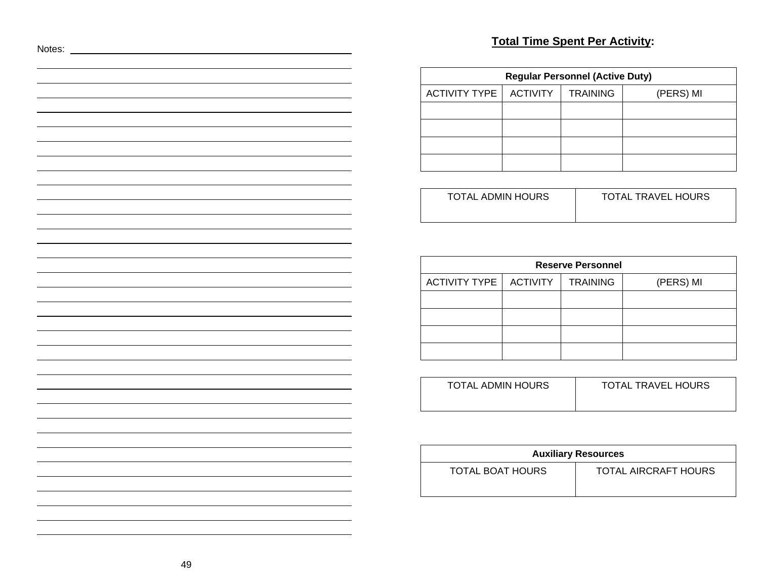# Notes: <u>Notes:</u> **Total Time Spent Per Activity:**

| <b>Regular Personnel (Active Duty)</b> |                 |                 |           |  |  |  |
|----------------------------------------|-----------------|-----------------|-----------|--|--|--|
| <b>ACTIVITY TYPE</b>                   | <b>ACTIVITY</b> | <b>TRAINING</b> | (PERS) MI |  |  |  |
|                                        |                 |                 |           |  |  |  |
|                                        |                 |                 |           |  |  |  |
|                                        |                 |                 |           |  |  |  |
|                                        |                 |                 |           |  |  |  |

| TOTAL ADMIN HOURS | <b>TOTAL TRAVEL HOURS</b> |
|-------------------|---------------------------|
|                   |                           |

| <b>Reserve Personnel</b> |          |                 |           |  |  |  |
|--------------------------|----------|-----------------|-----------|--|--|--|
| <b>ACTIVITY TYPE  </b>   | ACTIVITY | <b>TRAINING</b> | (PERS) MI |  |  |  |
|                          |          |                 |           |  |  |  |
|                          |          |                 |           |  |  |  |
|                          |          |                 |           |  |  |  |
|                          |          |                 |           |  |  |  |

| TOTAL ADMIN HOURS | <b>TOTAL TRAVEL HOURS</b> |
|-------------------|---------------------------|
|                   |                           |

| <b>Auxiliary Resources</b> |                      |  |  |
|----------------------------|----------------------|--|--|
| TOTAL BOAT HOURS           | TOTAL AIRCRAFT HOURS |  |  |

the contract of the contract of the contract of the contract of the contract of the contract of the contract of

the control of the control of the control of the control of the control of the control of the control of the control of the control of the control of the control of the control of the control of the control of the control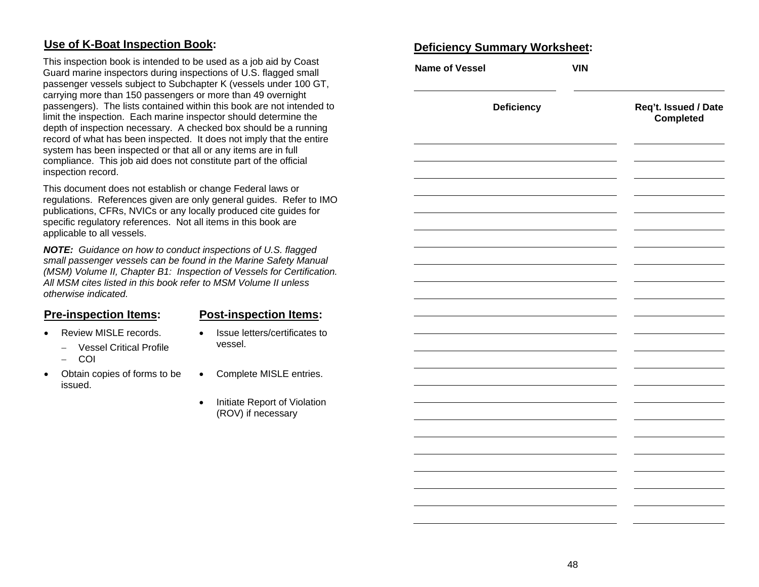## **Use of K-Boat Inspection Book:**

This inspection book is intended to be used as a job aid by Coast Guard marine inspectors during inspections of U.S. flagged small passenger vessels subject to Subchapter K (vessels under 100 GT, carrying more than 150 passengers or more than 49 overnight passengers). The lists contained within this book are not intended to limit the inspection. Each marine inspector should determine the depth of inspection necessary. A checked box should be a running record of what has been inspected. It does not imply that the entire system has been inspected or that all or any items are in full compliance. This job aid does not constitute part of the official inspection record.

This document does not establish or change Federal laws or regulations. References given are only general guides. Refer to IMO publications, CFRs, NVICs or any locally produced cite guides for specific regulatory references. Not all items in this book are applicable to all vessels.

*NOTE: Guidance on how to conduct inspections of U.S. flagged small passenger vessels can be found in the Marine Safety Manual (MSM) Volume II, Chapter B1: Inspection of Vessels for Certification. All MSM cites listed in this book refer to MSM Volume II unless otherwise indicated.* 

#### **Pre-inspection Items: Post-inspection Items:**

vessel.

• Issue letters/certificates to

- Review MISLE records.
	- − Vessel Critical Profile
	- − COI
- Obtain copies of forms to be issued.
- Complete MISLE entries.
- Initiate Report of Violation (ROV) if necessary

#### **D eficiency Summary Worksheet:**

| <b>Name of Vessel</b> | <b>VIN</b> |                                   |
|-----------------------|------------|-----------------------------------|
| <b>Deficiency</b>     |            | Req't. Issued / Date<br>Completed |
|                       |            |                                   |
|                       |            |                                   |
|                       |            |                                   |
|                       |            |                                   |
|                       |            |                                   |
|                       |            |                                   |
|                       |            |                                   |
|                       |            |                                   |
|                       |            |                                   |
|                       |            |                                   |
|                       |            |                                   |
|                       |            |                                   |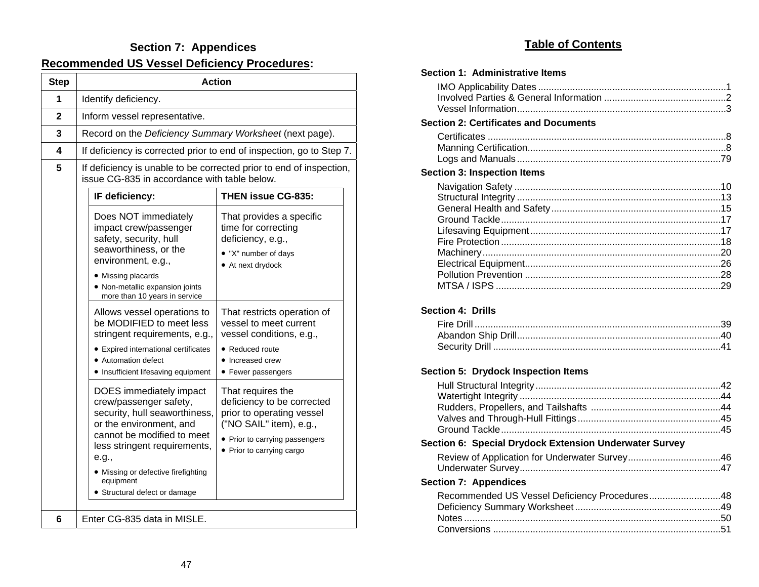## **Section 7: Appendices Recommended US Vessel Deficiency Procedures:**

| <b>Step</b> | <b>Action</b>                                                                                                                                                                                                                                                           |                                                                                                                                                                        |  |  |  |  |  |
|-------------|-------------------------------------------------------------------------------------------------------------------------------------------------------------------------------------------------------------------------------------------------------------------------|------------------------------------------------------------------------------------------------------------------------------------------------------------------------|--|--|--|--|--|
| 1           | Identify deficiency.                                                                                                                                                                                                                                                    |                                                                                                                                                                        |  |  |  |  |  |
| 2           | Inform vessel representative.                                                                                                                                                                                                                                           |                                                                                                                                                                        |  |  |  |  |  |
| 3           | Record on the Deficiency Summary Worksheet (next page).                                                                                                                                                                                                                 |                                                                                                                                                                        |  |  |  |  |  |
| 4           | If deficiency is corrected prior to end of inspection, go to Step 7.                                                                                                                                                                                                    |                                                                                                                                                                        |  |  |  |  |  |
| 5           | If deficiency is unable to be corrected prior to end of inspection,<br>issue CG-835 in accordance with table below.                                                                                                                                                     |                                                                                                                                                                        |  |  |  |  |  |
|             | THEN issue CG-835:<br>IF deficiency:                                                                                                                                                                                                                                    |                                                                                                                                                                        |  |  |  |  |  |
|             | Does NOT immediately<br>impact crew/passenger<br>safety, security, hull<br>seaworthiness, or the<br>environment, e.g.,<br>• Missing placards<br>• Non-metallic expansion joints<br>more than 10 years in service                                                        | That provides a specific<br>time for correcting<br>deficiency, e.g.,<br>• "X" number of days<br>• At next drydock                                                      |  |  |  |  |  |
|             | Allows vessel operations to<br>be MODIFIED to meet less<br>stringent requirements, e.g.,<br>• Expired international certificates<br>• Automation defect<br>• Insufficient lifesaving equipment                                                                          | That restricts operation of<br>vessel to meet current<br>vessel conditions, e.g.,<br>• Reduced route<br>• Increased crew<br>• Fewer passengers                         |  |  |  |  |  |
|             | DOES immediately impact<br>crew/passenger safety,<br>security, hull seaworthiness,<br>or the environment, and<br>cannot be modified to meet<br>less stringent requirements,<br>e.g.,<br>• Missing or defective firefighting<br>equipment<br>Structural defect or damage | That requires the<br>deficiency to be corrected<br>prior to operating vessel<br>("NO SAIL" item), e.g.,<br>• Prior to carrying passengers<br>• Prior to carrying cargo |  |  |  |  |  |
| 6           | Enter CG-835 data in MISLE.                                                                                                                                                                                                                                             |                                                                                                                                                                        |  |  |  |  |  |

## **Table of Contents**

| <b>Section 1: Administrative Items</b>                 |
|--------------------------------------------------------|
|                                                        |
| <b>Section 2: Certificates and Documents</b>           |
|                                                        |
|                                                        |
| <b>Section 3: Inspection Items</b>                     |
| <b>Section 4: Drills</b>                               |
| Section 5: Drydock Inspection Items                    |
|                                                        |
|                                                        |
|                                                        |
| Section 6: Special Drydock Extension Underwater Survey |
|                                                        |
| <b>Section 7: Appendices</b>                           |
| Recommended US Vessel Deficiency Procedures48          |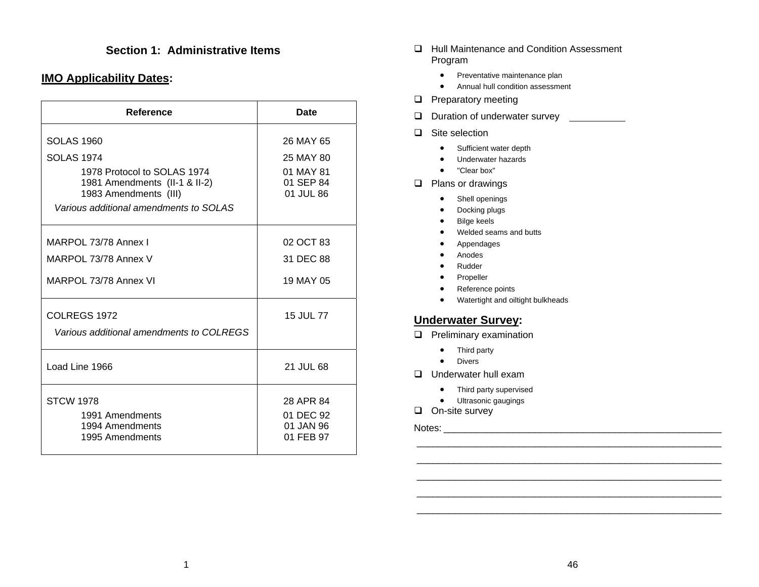### **Section 1: Administrative Items**

#### **IMO Applicability Dates:**

| <b>Reference</b>                                       | <b>Date</b>            |
|--------------------------------------------------------|------------------------|
| <b>SOLAS 1960</b>                                      | 26 MAY 65              |
| <b>SOLAS 1974</b>                                      | 25 MAY 80              |
| 1978 Protocol to SOLAS 1974                            | 01 MAY 81              |
| 1981 Amendments (II-1 & II-2)<br>1983 Amendments (III) | 01 SEP 84<br>01 JUL 86 |
| Various additional amendments to SOLAS                 |                        |
| MARPOL 73/78 Annex I                                   | 02 OCT 83              |
| MARPOL 73/78 Annex V                                   | 31 DEC 88              |
| MARPOL 73/78 Annex VI                                  | 19 MAY 05              |
| <b>COLREGS 1972</b>                                    | 15 JUL 77              |
| Various additional amendments to COLREGS               |                        |
| Load Line 1966                                         | 21 JUL 68              |
| <b>STCW 1978</b>                                       | 28 APR 84              |
| 1991 Amendments                                        | 01 DEC 92              |
| 1994 Amendments<br>1995 Amendments                     | 01 JAN 96<br>01 FEB 97 |

- □ Hull Maintenance and Condition Assessment Program
	- Preventative maintenance plan
	- Annual hull condition assessment
- **D** Preparatory meeting
- $\Box$  Duration of underwater survey
- **□** Site selection
	- Sufficient water depth
	- Underwater hazards
	- "Clear box"
- **Q** Plans or drawings
	- •Shell openings
	- •Docking plugs
	- •Bilge keels
	- •Welded seams and butts
	- •Appendages
	- $\bullet$ Anodes
	- •Rudder
	- •Propeller
	- •Reference points
	- •Watertight and oiltight bulkheads

#### **Underwater Survey:**

- $\Box$  Preliminary examination
	- Third party
	- •Divers
- Underwater hull exam
	- Third party supervised
	- Ultrasonic gaugings
- $\Box$  On-site survey

Notes: \_\_\_\_\_\_\_\_\_\_\_\_\_\_\_\_\_\_\_\_\_\_\_\_\_\_\_\_\_\_\_\_\_\_\_\_\_\_\_\_\_\_\_\_\_\_\_\_\_\_\_\_

 \_\_\_\_\_\_\_\_\_\_\_\_\_\_\_\_\_\_\_\_\_\_\_\_\_\_\_\_\_\_\_\_\_\_\_\_\_\_\_\_\_\_\_\_\_\_\_\_\_\_\_\_\_\_\_\_\_  $\mathcal{L}_\text{max} = \mathcal{L}_\text{max} = \mathcal{L}_\text{max} = \mathcal{L}_\text{max} = \mathcal{L}_\text{max} = \mathcal{L}_\text{max} = \mathcal{L}_\text{max} = \mathcal{L}_\text{max} = \mathcal{L}_\text{max} = \mathcal{L}_\text{max} = \mathcal{L}_\text{max} = \mathcal{L}_\text{max} = \mathcal{L}_\text{max} = \mathcal{L}_\text{max} = \mathcal{L}_\text{max} = \mathcal{L}_\text{max} = \mathcal{L}_\text{max} = \mathcal{L}_\text{max} = \mathcal{$ 

\_\_\_\_\_\_\_\_\_\_\_\_\_\_\_\_\_\_\_\_\_\_\_\_\_\_\_\_\_\_\_\_\_\_\_\_\_\_\_\_\_\_\_\_\_\_\_\_\_\_\_\_\_\_\_\_\_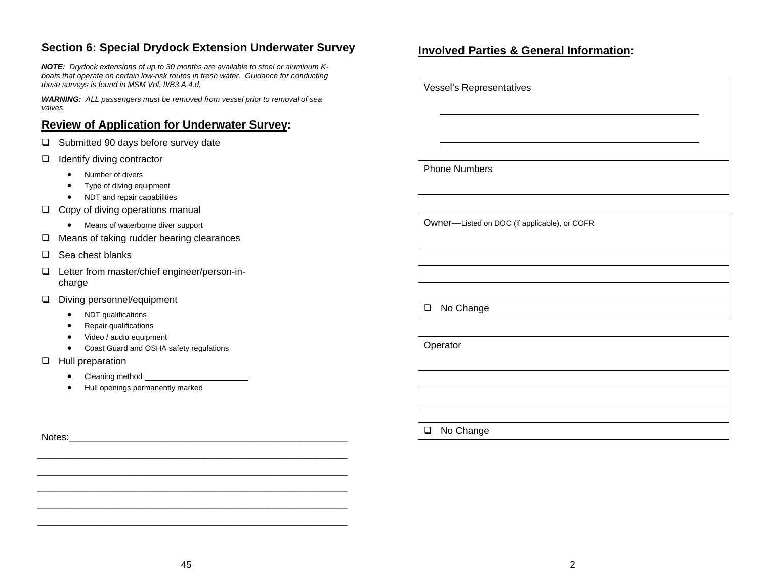## **Section 6: Special Drydock Extension Underwater Survey**

*NOTE: Drydock extensions of up to 30 months are available to steel or aluminum Kboats that operate on certain low-risk routes in fresh water. Guidance for conducting these surveys is found in MSM Vol. II/B3.A.4.d.* 

*WARNING: ALL passengers must be removed from vessel prior to removal of sea valves.* 

#### **Review of Application for Underwater Survey:**

- $\Box$  Submitted 90 days before survey date
- $\Box$  Identify diving contractor
	- •Number of divers
	- •Type of diving equipment
	- •NDT and repair capabilities
- $\Box$  Copy of diving operations manual
	- Means of waterborne diver support
- $\Box$  Means of taking rudder bearing clearances
- $\Box$  Sea chest blanks
- □ Letter from master/chief engineer/person-incharge
- Diving personnel/equipment
	- •NDT qualifications
	- •Repair qualifications
	- •Video / audio equipment
	- •Coast Guard and OSHA safety regulations
- $\Box$  Hull preparation
	- •Cleaning method
	- •Hull openings permanently marked

Notes: \_\_\_\_\_\_\_\_\_\_\_\_\_\_\_\_\_\_\_\_\_\_\_\_\_\_\_\_\_\_\_\_\_\_\_\_\_\_\_\_\_\_\_\_\_\_\_\_\_\_\_\_

#### **Involved Parties & General Information:**

Vessel's Representatives

Phone Numbers

Owner—Listed on DOC (if applicable), or COFR

□ No Change

**Operator** 

□ No Change

 \_\_\_\_\_\_\_\_\_\_\_\_\_\_\_\_\_\_\_\_\_\_\_\_\_\_\_\_\_\_\_\_\_\_\_\_\_\_\_\_\_\_\_\_\_\_\_\_\_\_\_\_\_\_\_\_\_\_ \_\_\_\_\_\_\_\_\_\_\_\_\_\_\_\_\_\_\_\_\_\_\_\_\_\_\_\_\_\_\_\_\_\_\_\_\_\_\_\_\_\_\_\_\_\_\_\_\_\_\_\_\_\_\_\_\_\_

\_\_\_\_\_\_\_\_\_\_\_\_\_\_\_\_\_\_\_\_\_\_\_\_\_\_\_\_\_\_\_\_\_\_\_\_\_\_\_\_\_\_\_\_\_\_\_\_\_\_\_\_\_\_\_\_\_\_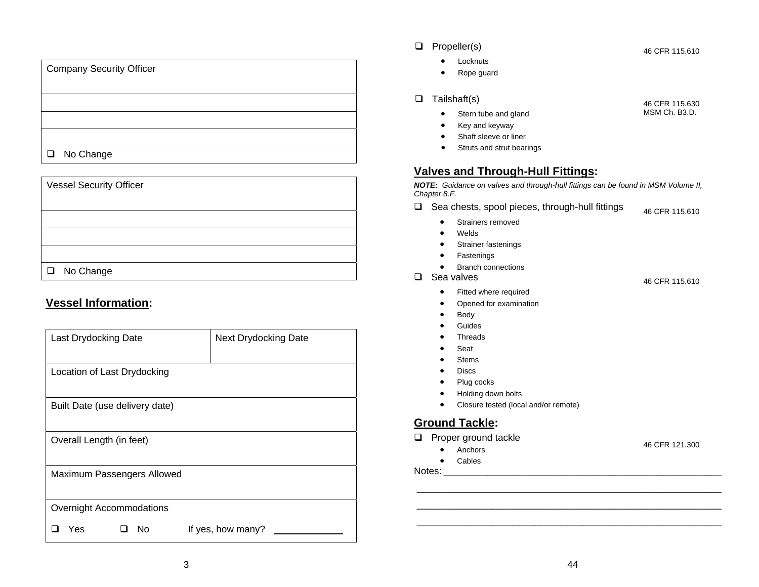| <b>Company Security Officer</b> |  |
|---------------------------------|--|
|                                 |  |
|                                 |  |
|                                 |  |
|                                 |  |
| □ No Change                     |  |

### Vessel Security Officer

□ No Change

## **Vessel Information:**

| Last Drydocking Date           | <b>Next Drydocking Date</b> |
|--------------------------------|-----------------------------|
| Location of Last Drydocking    |                             |
| Built Date (use delivery date) |                             |
| Overall Length (in feet)       |                             |
| Maximum Passengers Allowed     |                             |
| Overnight Accommodations       |                             |
| No<br>Yes                      | If yes, how many?           |

#### $\Box$  Propeller(s)

- Locknuts
- •Rope guard

#### $\Box$  Tailshaft(s)

- •Stern tube and gland
- •Key and keyway
- Shaft sleeve or liner
- Struts and strut bearings

## **Valves and Through-Hull Fittings:**

*NOTE: Guidance on valves and through-hull fittings can be found in MSM Volume II, Chapter 8.F.* 

- $\Box$  Sea chests, spool pieces, through-hull fittings 46 CFR 115.610
	- $\bullet$ Strainers removed
	- •Welds
	- $\bullet$ Strainer fastenings
	- $\bullet$ Fastenings
	- •Branch connections
- □ Sea valves
	- •Fitted where required
	- •Opened for examination
	- $\bullet$ Body
	- •Guides
	- •Threads
	- •Seat
	- •Stems
	- $\bullet$ Discs
	- $\bullet$ Plug cocks
	- •Holding down bolts
	- $\bullet$ Closure tested (local and/or remote)

## **Ground Tackle:**

- **D** Proper ground tackle
	- Anchors
	- $\bullet$ Cables

Notes: \_\_\_\_\_\_\_\_\_\_\_\_\_\_\_\_\_\_\_\_\_\_\_\_\_\_\_\_\_\_\_\_\_\_\_\_\_\_\_\_\_\_\_\_\_\_\_\_\_\_\_\_

46 CFR 115.630 MSM Ch. B3.D.

46 CFR 115.610

46 CFR 115.610

\_\_\_\_\_\_\_\_\_\_\_\_\_\_\_\_\_\_\_\_\_\_\_\_\_\_\_\_\_\_\_\_\_\_\_\_\_\_\_\_\_\_\_\_\_\_\_\_\_\_\_\_\_\_\_\_\_

\_\_\_\_\_\_\_\_\_\_\_\_\_\_\_\_\_\_\_\_\_\_\_\_\_\_\_\_\_\_\_\_\_\_\_\_\_\_\_\_\_\_\_\_\_\_\_\_\_\_\_\_\_\_\_\_\_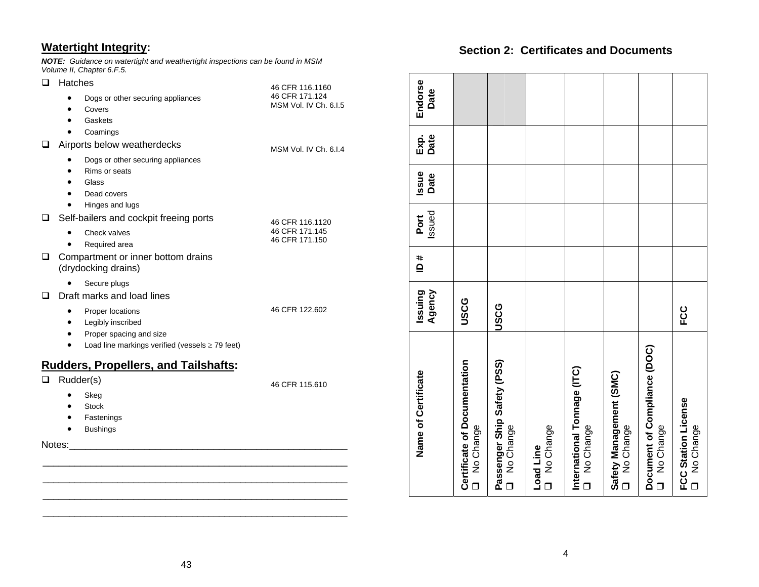## **Watertight Integrity:**

*NOTE: Guidance on watertight and weathertight inspections can be found in MSM Volume II, Chapter 6.F.5.*

| ◻      | Hatches                                                   | 46 CFR 116.1160       |
|--------|-----------------------------------------------------------|-----------------------|
|        | Dogs or other securing appliances                         | 46 CFR 171.124        |
|        | Covers<br>٠                                               | MSM Vol. IV Ch. 6.1.5 |
|        | Gaskets                                                   |                       |
|        | Coamings                                                  |                       |
| ப      | Airports below weatherdecks                               | MSM Vol. IV Ch. 6.1.4 |
|        | Dogs or other securing appliances                         |                       |
|        | Rims or seats                                             |                       |
|        | Glass                                                     |                       |
|        | Dead covers                                               |                       |
|        | Hinges and lugs                                           |                       |
| ப      | Self-bailers and cockpit freeing ports                    | 46 CFR 116.1120       |
|        | Check valves                                              | 46 CFR 171.145        |
|        | Required area                                             | 46 CFR 171.150        |
| ◻      | Compartment or inner bottom drains<br>(drydocking drains) |                       |
|        | Secure plugs                                              |                       |
| ப      | Draft marks and load lines                                |                       |
|        | Proper locations                                          | 46 CFR 122.602        |
|        | Legibly inscribed<br>٠                                    |                       |
|        | Proper spacing and size<br>٠                              |                       |
|        | Load line markings verified (vessels $\geq$ 79 feet)      |                       |
|        | <b>Rudders, Propellers, and Tailshafts:</b>               |                       |
| ப      | Rudder(s)                                                 | 46 CFR 115.610        |
|        | Skeg                                                      |                       |
|        | <b>Stock</b>                                              |                       |
|        | Fastenings                                                |                       |
|        | <b>Bushings</b>                                           |                       |
| Notes: |                                                           |                       |
|        |                                                           |                       |

#### **Section 2: Certificates and Documents**

| Name of Certificate                         | Agency<br>Issuing | # ם | Issued<br>Port | Issue<br>Date | Date<br>Exp. | Endorse<br>Date |
|---------------------------------------------|-------------------|-----|----------------|---------------|--------------|-----------------|
| Certificate of Documentation<br>O No Change | <b>USCG</b>       |     |                |               |              |                 |
| Passenger Ship Safety (PSS)<br>O No Change  | USCG              |     |                |               |              |                 |
| D No Change<br>Load Line                    |                   |     |                |               |              |                 |
| International Tonnage (ITC)<br>O No Change  |                   |     |                |               |              |                 |
| Safety Management (SMC)<br>O No Change      |                   |     |                |               |              |                 |
| Document of Compliance (DOC)<br>O No Change |                   |     |                |               |              |                 |
| FCC Station License<br>O No Change          | ပ္ပ               |     |                |               |              |                 |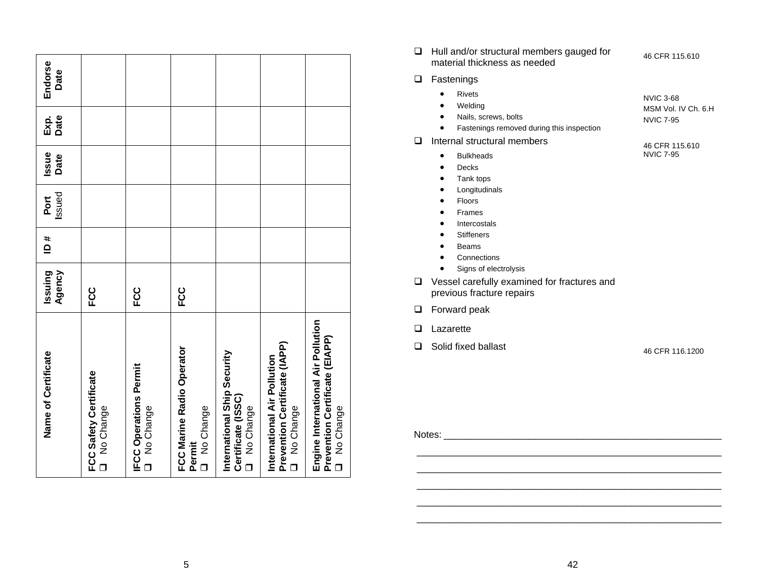| Name of Certificate                                                                         | Agency<br>Issuing | # q | Issued<br>Port | <b>Issue</b><br>Date | Date<br>Exp. | Endorse<br>Date |
|---------------------------------------------------------------------------------------------|-------------------|-----|----------------|----------------------|--------------|-----------------|
| <b>FCC Safety Certificate</b><br>No Change<br>$\Box$                                        | ပ္ပ               |     |                |                      |              |                 |
| <b>IFCC Operations Permit</b><br>No Change<br>$\Box$                                        | ပ္ပ               |     |                |                      |              |                 |
| FCC Marine Radio Operator<br>No Change<br>Permit<br>$\Box$                                  | ც<br>⊩C           |     |                |                      |              |                 |
| International Ship Security<br>Certificate (ISSC)<br>No Change<br>$\Box$                    |                   |     |                |                      |              |                 |
| Prevention Certificate (IAPP)<br>International Air Pollution<br>No Change                   |                   |     |                |                      |              |                 |
| Engine International Air Pollution<br>Prevention Certificate (EIAPP)<br>No Change<br>$\Box$ |                   |     |                |                      |              |                 |

□ Hull and/or structural members gauged for material thickness as needed

46 CFR 115.610

NVIC 7-95

**D** Fastenings

| <b>Rivets</b><br>٠<br>Welding<br>$\bullet$<br>Nails, screws, bolts<br>$\bullet$<br>Fastenings removed during this inspection<br>$\bullet$ | NVIC 3-68<br>MSM Vol. IV Ch. 6.H<br>NVIC 7-95 |
|-------------------------------------------------------------------------------------------------------------------------------------------|-----------------------------------------------|
| Internal structural members                                                                                                               | 46 CFR 115.610                                |

- Bulkheads
- •Decks
- •Tank tops
- •Longitudinals
- $\bullet$ Floors
- •Frames
- $\bullet$ Intercostals
- Stiffeners
- Beams
- Connections
- Signs of electrolysis
- Vessel carefully examined for fractures and previous fracture repairs
- **D** Forward peak
- **Lazarette**
- $\Box$  Solid fixed ballast

46 CFR 116.1200

Notes:

 $\mathcal{L}_\text{max} = \mathcal{L}_\text{max} = \mathcal{L}_\text{max} = \mathcal{L}_\text{max} = \mathcal{L}_\text{max} = \mathcal{L}_\text{max} = \mathcal{L}_\text{max} = \mathcal{L}_\text{max} = \mathcal{L}_\text{max} = \mathcal{L}_\text{max} = \mathcal{L}_\text{max} = \mathcal{L}_\text{max} = \mathcal{L}_\text{max} = \mathcal{L}_\text{max} = \mathcal{L}_\text{max} = \mathcal{L}_\text{max} = \mathcal{L}_\text{max} = \mathcal{L}_\text{max} = \mathcal{$ 

 \_\_\_\_\_\_\_\_\_\_\_\_\_\_\_\_\_\_\_\_\_\_\_\_\_\_\_\_\_\_\_\_\_\_\_\_\_\_\_\_\_\_\_\_\_\_\_\_\_\_\_\_\_\_\_\_\_  $\mathcal{L}_\text{max} = \mathcal{L}_\text{max} = \mathcal{L}_\text{max} = \mathcal{L}_\text{max} = \mathcal{L}_\text{max} = \mathcal{L}_\text{max} = \mathcal{L}_\text{max} = \mathcal{L}_\text{max} = \mathcal{L}_\text{max} = \mathcal{L}_\text{max} = \mathcal{L}_\text{max} = \mathcal{L}_\text{max} = \mathcal{L}_\text{max} = \mathcal{L}_\text{max} = \mathcal{L}_\text{max} = \mathcal{L}_\text{max} = \mathcal{L}_\text{max} = \mathcal{L}_\text{max} = \mathcal{$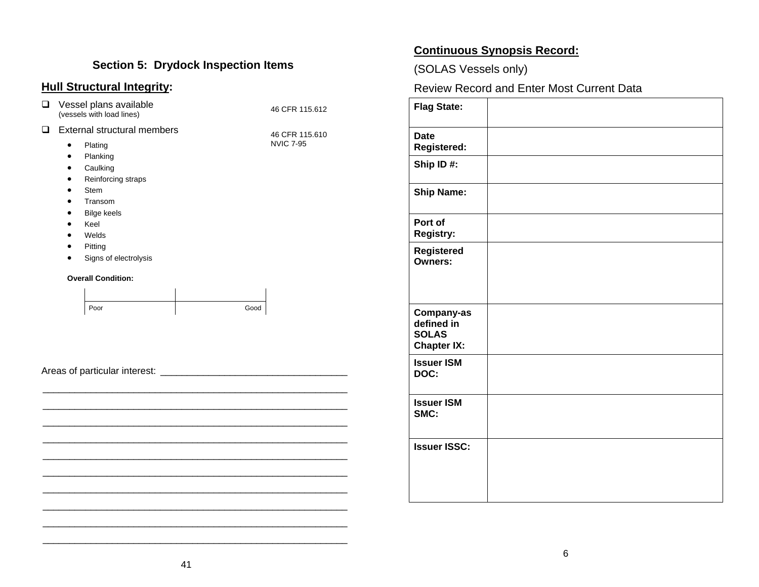## **Section 5: Drydock Inspection Items**

## **Hull Structural Integrity:**

| $\Box$ | Vessel plans available<br>(vessels with load lines)                                                                                                                                                                                                   | 46 CFR 115.612                     |
|--------|-------------------------------------------------------------------------------------------------------------------------------------------------------------------------------------------------------------------------------------------------------|------------------------------------|
| $\Box$ | External structural members<br>Plating<br>$\bullet$<br>Planking<br>$\bullet$<br>Caulking<br>٠<br>Reinforcing straps<br>٠<br>Stem<br>$\bullet$<br>Transom<br>٠<br><b>Bilge keels</b><br>Keel<br>$\bullet$<br>Welds<br>Pitting<br>Signs of electrolysis | 46 CFR 115.610<br><b>NVIC 7-95</b> |
|        | <b>Overall Condition:</b>                                                                                                                                                                                                                             |                                    |
|        | Poor                                                                                                                                                                                                                                                  | Good                               |
|        |                                                                                                                                                                                                                                                       |                                    |
|        |                                                                                                                                                                                                                                                       |                                    |

## **Continuous Synopsis Record:**

(SOLAS Vessels only)

Review Record and Enter Most Current Data

| <b>Flag State:</b>                                             |  |
|----------------------------------------------------------------|--|
| <b>Date</b><br><b>Registered:</b>                              |  |
| Ship ID#:                                                      |  |
| <b>Ship Name:</b>                                              |  |
| Port of<br><b>Registry:</b>                                    |  |
| <b>Registered</b><br><b>Owners:</b>                            |  |
| Company-as<br>defined in<br><b>SOLAS</b><br><b>Chapter IX:</b> |  |
| <b>Issuer ISM</b><br>DOC:                                      |  |
| <b>Issuer ISM</b><br>SMC:                                      |  |
| <b>Issuer ISSC:</b>                                            |  |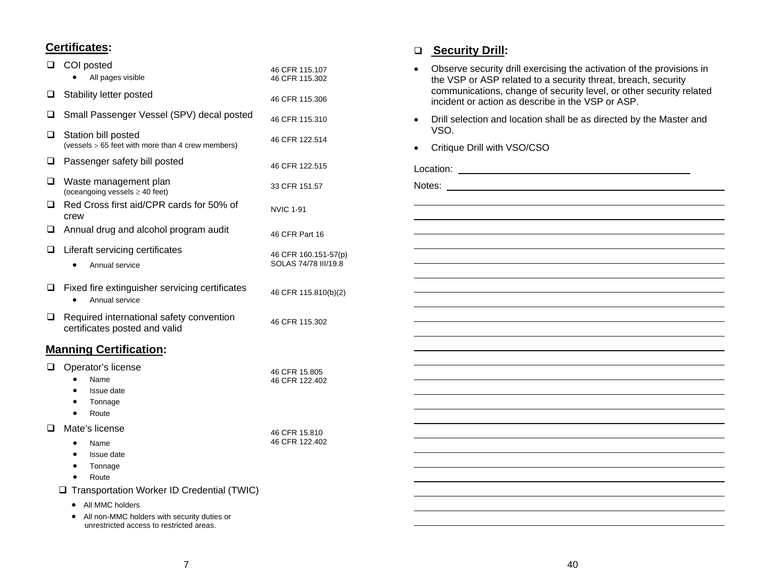#### **Certificates:**

| ⊔ | COI posted                                                                                                                            |                                              |
|---|---------------------------------------------------------------------------------------------------------------------------------------|----------------------------------------------|
|   | All pages visible                                                                                                                     | 46 CFR 115.107<br>46 CFR 115.302             |
| ❏ | Stability letter posted                                                                                                               | 46 CFR 115.306                               |
| ❏ | Small Passenger Vessel (SPV) decal posted                                                                                             | 46 CFR 115.310                               |
| Q | Station bill posted<br>(vessels > 65 feet with more than 4 crew members)                                                              | 46 CFR 122.514                               |
| ❏ | Passenger safety bill posted                                                                                                          | 46 CFR 122.515                               |
| ◻ | Waste management plan<br>(oceangoing vessels $\geq$ 40 feet)                                                                          | 33 CFR 151.57                                |
| ◻ | Red Cross first aid/CPR cards for 50% of<br>crew                                                                                      | <b>NVIC 1-91</b>                             |
| ❏ | Annual drug and alcohol program audit                                                                                                 | 46 CFR Part 16                               |
| ❏ | Liferaft servicing certificates<br>Annual service                                                                                     | 46 CFR 160.151-57(p)<br>SOLAS 74/78 III/19.8 |
| ❏ | Fixed fire extinguisher servicing certificates<br>Annual service                                                                      | 46 CFR 115.810(b)(2)                         |
| ❏ | Required international safety convention<br>certificates posted and valid                                                             | 46 CFR 115.302                               |
|   | <b>Manning Certification:</b>                                                                                                         |                                              |
| ⊔ | Operator's license<br>Name<br>Issue date<br>Tonnage<br>٠<br>Route<br>$\bullet$                                                        | 46 CFR 15.805<br>46 CFR 122.402              |
|   | Mate's license<br>Name<br>$\bullet$<br>Issue date<br>Tonnage<br>٠<br>Route<br>$\bullet$<br>Transportation Worker ID Credential (TWIC) | 46 CFR 15.810<br>46 CFR 122.402              |
|   | All MMC holders<br>All non-MMC holders with security duties or                                                                        |                                              |

#### **Security Drill:**

- Observe security drill exercising the activation of the provisions in the VSP or ASP related to a security threat, breach, security communications, change of security level, or other security related incident or action as describe in the VSP or ASP.
- Drill selection and location shall be as directed by the Master and VSO.
- Critique Drill with VSO/CSO

Location: Notes:

unrestricted access to restricted areas.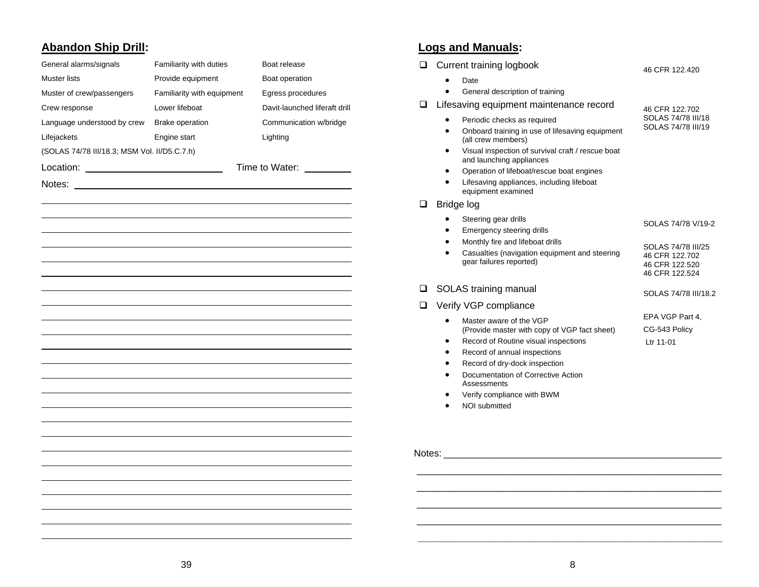## **Abandon Ship Drill:**

| General alarms/signals                       | Familiarity with duties    | Boat release                  |
|----------------------------------------------|----------------------------|-------------------------------|
| Muster lists                                 | Provide equipment          | Boat operation                |
| Muster of crew/passengers                    | Familiarity with equipment | Egress procedures             |
| Crew response                                | Lower lifeboat             | Davit-launched liferaft drill |
| Language understood by crew                  | <b>Brake operation</b>     | Communication w/bridge        |
| Lifejackets                                  | Engine start               | Lighting                      |
| (SOLAS 74/78 III/18.3; MSM Vol. II/D5.C.7.h) |                            |                               |
|                                              |                            | Time to Water:                |
| Notes:                                       |                            |                               |
|                                              |                            |                               |
|                                              |                            |                               |
|                                              |                            |                               |
|                                              |                            |                               |
|                                              |                            |                               |
|                                              |                            |                               |
|                                              |                            |                               |
|                                              |                            |                               |
|                                              |                            |                               |
|                                              |                            |                               |
|                                              |                            |                               |
|                                              |                            |                               |
|                                              |                            |                               |
|                                              |                            |                               |
|                                              |                            |                               |
|                                              |                            |                               |
|                                              |                            |                               |
|                                              |                            |                               |
|                                              |                            |                               |
|                                              |                            |                               |
|                                              |                            |                               |
|                                              |                            |                               |
|                                              |                            |                               |

## **Logs and Manuals:**

| ⊔      | Current training logbook                                                           | 46 CFR 122.420                           |
|--------|------------------------------------------------------------------------------------|------------------------------------------|
|        | Date                                                                               |                                          |
|        | General description of training                                                    |                                          |
| ப      | Lifesaving equipment maintenance record                                            | 46 CFR 122.702                           |
|        | Periodic checks as required                                                        | SOLAS 74/78 III/18<br>SOLAS 74/78 III/19 |
|        | Onboard training in use of lifesaving equipment<br>$\bullet$<br>(all crew members) |                                          |
|        | Visual inspection of survival craft / rescue boat                                  |                                          |
|        | and launching appliances                                                           |                                          |
|        | Operation of lifeboat/rescue boat engines                                          |                                          |
|        | Lifesaving appliances, including lifeboat<br>equipment examined                    |                                          |
| ப      | Bridge log                                                                         |                                          |
|        | Steering gear drills                                                               | SOLAS 74/78 V/19-2                       |
|        | Emergency steering drills<br>Monthly fire and lifeboat drills                      |                                          |
|        | Casualties (navigation equipment and steering                                      | SOLAS 74/78 III/25                       |
|        | gear failures reported)                                                            | 46 CFR 122.702<br>46 CFR 122.520         |
|        |                                                                                    | 46 CFR 122.524                           |
| ப      | SOLAS training manual                                                              | SOLAS 74/78 III/18.2                     |
| ◻      | Verify VGP compliance                                                              |                                          |
|        | Master aware of the VGP                                                            | EPA VGP Part 4,                          |
|        | (Provide master with copy of VGP fact sheet)                                       | CG-543 Policy                            |
|        | Record of Routine visual inspections<br>Record of annual inspections               | Ltr 11-01                                |
|        | Record of dry-dock inspection                                                      |                                          |
|        | Documentation of Corrective Action                                                 |                                          |
|        | Assessments                                                                        |                                          |
|        | Verify compliance with BWM<br><b>NOI</b> submitted                                 |                                          |
|        |                                                                                    |                                          |
|        |                                                                                    |                                          |
|        |                                                                                    |                                          |
| Notes: |                                                                                    |                                          |
|        |                                                                                    |                                          |
|        |                                                                                    |                                          |
|        |                                                                                    |                                          |

\_\_\_\_\_\_\_\_\_\_\_\_\_\_\_\_\_\_\_\_\_\_\_\_\_\_\_\_\_\_\_\_\_\_\_\_\_\_\_\_\_\_\_\_\_\_\_\_\_\_\_\_\_\_\_\_\_\_\_\_\_\_\_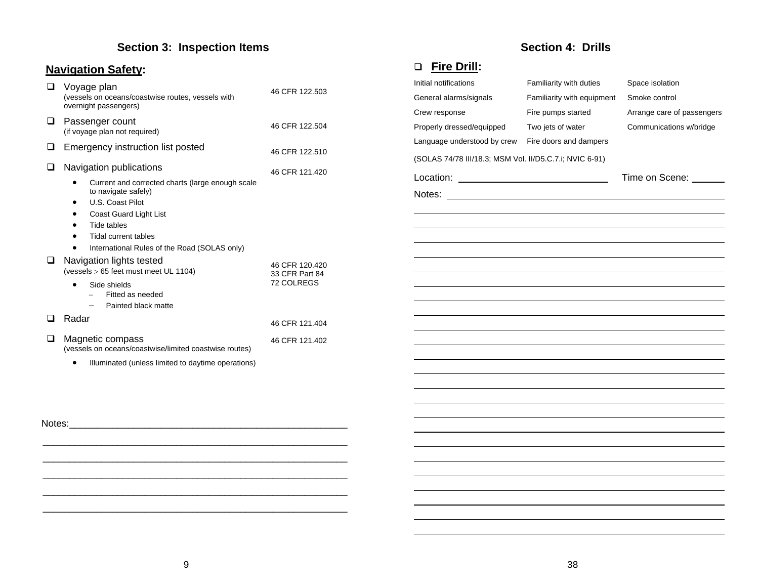## **Section 3: Inspection Items**

## **Navigation Safety:**

| Voyage plan<br>(vessels on oceans/coastwise routes, vessels with<br>overnight passengers) | 46 CFR 122.503                   |
|-------------------------------------------------------------------------------------------|----------------------------------|
| Passenger count<br>(if voyage plan not required)                                          | 46 CFR 122.504                   |
| Emergency instruction list posted                                                         | 46 CFR 122.510                   |
| Navigation publications                                                                   | 46 CFR 121.420                   |
| Current and corrected charts (large enough scale<br>to navigate safely)                   |                                  |
| U.S. Coast Pilot                                                                          |                                  |
| Coast Guard Light List                                                                    |                                  |
| Tide tables                                                                               |                                  |
| Tidal current tables                                                                      |                                  |
| International Rules of the Road (SOLAS only)                                              |                                  |
| Navigation lights tested<br>(vessels > 65 feet must meet UL 1104)                         | 46 CFR 120.420<br>33 CFR Part 84 |
| Side shields<br>$\bullet$<br>Fitted as needed                                             | 72 COLREGS                       |
| Painted black matte                                                                       |                                  |
| Radar                                                                                     | 46 CFR 121.404                   |
| Magnetic compass<br>(vessels on oceans/coastwise/limited coastwise routes)                | 46 CFR 121.402                   |
| Illuminated (unless limited to daytime operations)                                        |                                  |
|                                                                                           |                                  |

## **Section 4: Drills**

## **Fire Drill:**

| Initial notifications                                   | Familiarity with duties                                                                                              | Space isolation            |
|---------------------------------------------------------|----------------------------------------------------------------------------------------------------------------------|----------------------------|
| General alarms/signals                                  | Familiarity with equipment                                                                                           | Smoke control              |
| Crew response                                           | Fire pumps started                                                                                                   | Arrange care of passengers |
| Properly dressed/equipped                               | Two jets of water                                                                                                    | Communications w/bridge    |
| Language understood by crew                             | Fire doors and dampers                                                                                               |                            |
| (SOLAS 74/78 III/18.3; MSM Vol. II/D5.C.7.i; NVIC 6-91) |                                                                                                                      |                            |
| Location:<br><u> 1989 - Johann Barbara, martin a</u>    |                                                                                                                      | Time on Scene: ______      |
| Notes:                                                  | <u> 1989 - Johann Barn, mars eta bat erroman erroman erroman erroman erroman erroman erroman erroman erroman err</u> |                            |
|                                                         |                                                                                                                      |                            |
|                                                         |                                                                                                                      |                            |
|                                                         |                                                                                                                      |                            |
|                                                         |                                                                                                                      |                            |
|                                                         |                                                                                                                      |                            |
|                                                         |                                                                                                                      |                            |
|                                                         |                                                                                                                      |                            |
|                                                         |                                                                                                                      |                            |
|                                                         |                                                                                                                      |                            |
|                                                         |                                                                                                                      |                            |
|                                                         |                                                                                                                      |                            |
|                                                         |                                                                                                                      |                            |
|                                                         |                                                                                                                      |                            |
|                                                         |                                                                                                                      |                            |

Notes: \_\_\_\_\_\_\_\_\_\_\_\_\_\_\_\_\_\_\_\_\_\_\_\_\_\_\_\_\_\_\_\_\_\_\_\_\_\_\_\_\_\_\_\_\_\_\_\_\_\_\_\_

\_\_\_\_\_\_\_\_\_\_\_\_\_\_\_\_\_\_\_\_\_\_\_\_\_\_\_\_\_\_\_\_\_\_\_\_\_\_\_\_\_\_\_\_\_\_\_\_\_\_\_\_\_\_\_\_\_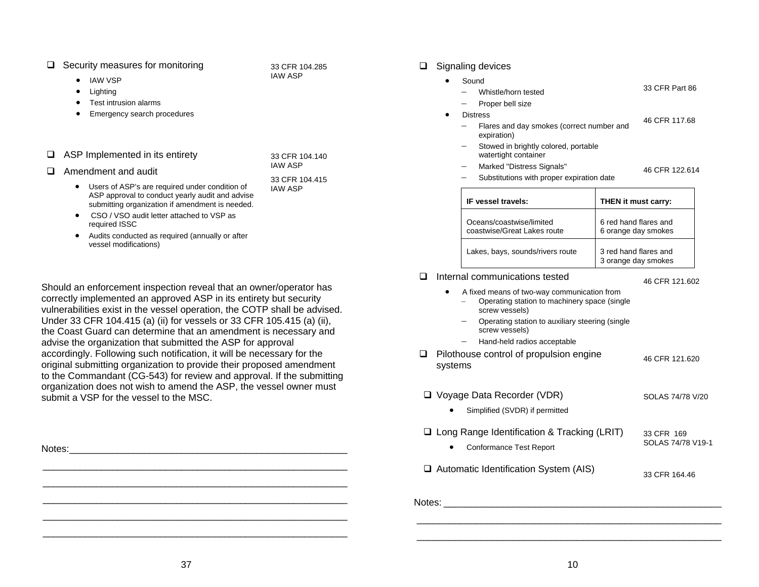#### $\Box$  Security measures for monitoring

33 CFR 104.285 IAW ASP

33 CFR 104.140 IAW ASP

- • IAW VSP •**Lighting**
- •Test intrusion alarms
- •Emergency search procedures
- $\Box$  ASP Implemented in its entirety

| Amendment and audit |  |
|---------------------|--|

- Users of ASP's are required under condition of ASP approval to conduct yearly audit and advise submitting organization if amendment is needed. 33 CFR 104.415 IAW ASP
- CSO / VSO audit letter attached to VSP as required ISSC
- • Audits conducted as required (annually or after vessel modifications)

Should an enforcement inspection reveal that an owner/operator has correctly implemented an approved ASP in its entirety but security vulnerabilities exist in the vessel operation, the COTP shall be advised. Under 33 CFR 104.415 (a) (ii) for vessels or 33 CFR 105.415 (a) (ii), the Coast Guard can determine that an amendment is necessary and advise the organization that submitted the ASP for approval accordingly. Following such notification, it will be necessary for the original submitting organization to provide their proposed amendment to the Commandant (CG-543) for review and approval. If the submitting organization does not wish to amend the ASP, the vessel owner must submit a VSP for the vessel to the MSC.

\_\_\_\_\_\_\_\_\_\_\_\_\_\_\_\_\_\_\_\_\_\_\_\_\_\_\_\_\_\_\_\_\_\_\_\_\_\_\_\_\_\_\_\_\_\_\_\_\_\_\_\_\_\_\_\_\_

| Notes: | $\Box$ Long Range Identification & Tracking (LRTT)<br><b>Conformance Test Report</b> | 33 CFR 169<br>SOLAS 74/78 V19-1 |
|--------|--------------------------------------------------------------------------------------|---------------------------------|
|        | $\Box$ Automatic Identification System (AIS)                                         | 33 CFR 164.46                   |
|        | Notes:                                                                               |                                 |

#### $\Box$  Signaling devices

| $\bullet$ |     | Sound                                                        |                |
|-----------|-----|--------------------------------------------------------------|----------------|
|           |     | Whistle/horn tested                                          | 33 CFR Part 86 |
|           |     | Proper bell size                                             |                |
|           |     | <b>Distress</b>                                              | 46 CFR 117.68  |
|           |     | Flares and day smokes (correct number and<br>expiration)     |                |
|           | $-$ | Stowed in brightly colored, portable<br>watertight container |                |
|           | -   | Marked "Distress Signals"                                    | 46 CFR 122.614 |
|           |     | Substitutions with proper expiration date                    |                |

| IF vessel travels:                                      | <b>THEN</b> it must carry:                   |
|---------------------------------------------------------|----------------------------------------------|
| Oceans/coastwise/limited<br>coastwise/Great Lakes route | 6 red hand flares and<br>6 orange day smokes |
| Lakes, bays, sounds/rivers route                        | 3 red hand flares and<br>3 orange day smokes |

 $\Box$  Internal communications tested

 $\bullet$ 

46 CFR 121.602

- A fixed means of two-way communication from <sup>−</sup> Operating station to machinery space (single screw vessels)
- Operating station to auxiliary steering (single screw vessels)
- − Hand-held radios acceptable
- $\Box$  Pilothouse control of propulsion engine systems 46 CFR 121.620
- Voyage Data Recorder (VDR) SOLAS 74/78 V/20
- Simplified (SVDR) if permitted □ Long Range Identification & Tracking (LRIT) 33 CFR 169
	- st Report SOLAS 74/78 V19-1
- on System (AIS) 33 CFR 164.46

\_\_\_\_\_\_\_\_\_\_\_\_\_\_\_\_\_\_\_\_\_\_\_\_\_\_\_\_\_\_\_\_\_\_\_\_\_\_\_\_\_\_\_\_\_\_\_\_\_\_\_\_\_\_\_\_\_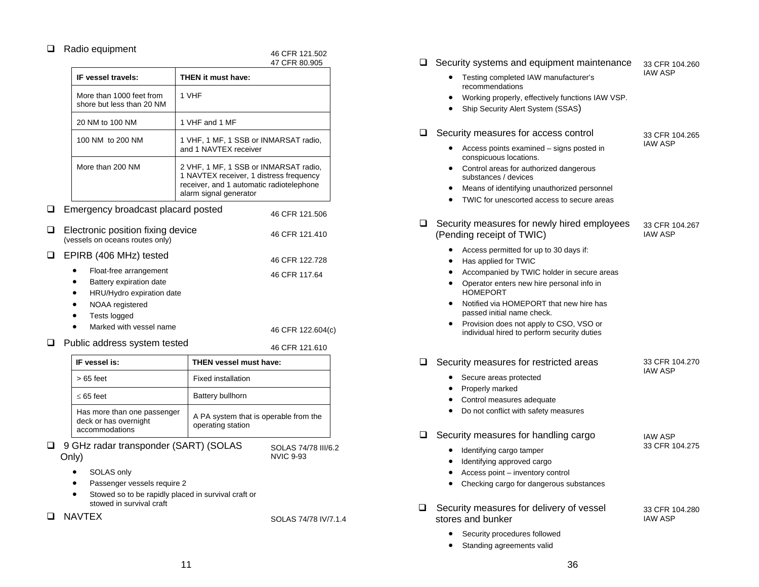#### $\Box$  Radio equipment

|        |                                                                                                                                              |                                                                                                                                                        | 47 CFR 80.905                      |
|--------|----------------------------------------------------------------------------------------------------------------------------------------------|--------------------------------------------------------------------------------------------------------------------------------------------------------|------------------------------------|
|        | IF vessel travels:                                                                                                                           | THEN it must have:                                                                                                                                     |                                    |
|        | More than 1000 feet from<br>shore but less than 20 NM                                                                                        | 1 VHF                                                                                                                                                  |                                    |
|        | 20 NM to 100 NM                                                                                                                              | 1 VHF and 1 MF                                                                                                                                         |                                    |
|        | 100 NM to 200 NM                                                                                                                             | 1 VHF, 1 MF, 1 SSB or INMARSAT radio,<br>and 1 NAVTEX receiver                                                                                         |                                    |
|        | More than 200 NM                                                                                                                             | 2 VHF, 1 MF, 1 SSB or INMARSAT radio,<br>1 NAVTEX receiver, 1 distress frequency<br>receiver, and 1 automatic radiotelephone<br>alarm signal generator |                                    |
| $\Box$ | Emergency broadcast placard posted                                                                                                           |                                                                                                                                                        | 46 CFR 121.506                     |
| ❏      | Electronic position fixing device<br>(vessels on oceans routes only)                                                                         |                                                                                                                                                        | 46 CFR 121.410                     |
| □      | EPIRB (406 MHz) tested                                                                                                                       |                                                                                                                                                        | 46 CFR 122.728                     |
|        | Float-free arrangement<br>Battery expiration date<br>HRU/Hydro expiration date<br>NOAA registered<br>Tests logged<br>Marked with vessel name |                                                                                                                                                        | 46 CFR 117.64<br>46 CFR 122.604(c) |
|        | Public address system tested                                                                                                                 |                                                                                                                                                        | 46 CFR 121.610                     |

46 CFR 121.502

| IF vessel is:                                                          | <b>THEN vessel must have:</b>                              |
|------------------------------------------------------------------------|------------------------------------------------------------|
| $>65$ feet                                                             | <b>Fixed installation</b>                                  |
| $< 65$ feet                                                            | Battery bullhorn                                           |
| Has more than one passenger<br>deck or has overnight<br>accommodations | A PA system that is operable from the<br>operating station |

□ 9 GHz radar transponder (SART) (SOLAS Only)

SOLAS 74/78 III/6.2 NVIC 9-93

- •SOLAS only
- •Passenger vessels require 2
- • Stowed so to be rapidly placed in survival craft or stowed in survival craft

 $\Box$  NAVTEX solas 74/78 IV/7.1.4

| ⊔  | Security systems and equipment maintenance                                                             | 33 CFR 104.260                   |
|----|--------------------------------------------------------------------------------------------------------|----------------------------------|
|    | Testing completed IAW manufacturer's<br>recommendations                                                | <b>IAW ASP</b>                   |
|    | Working properly, effectively functions IAW VSP.                                                       |                                  |
|    | Ship Security Alert System (SSAS)                                                                      |                                  |
| ப  | Security measures for access control                                                                   | 33 CFR 104.265                   |
|    | Access points examined – signs posted in<br>conspicuous locations.                                     | <b>IAW ASP</b>                   |
|    | Control areas for authorized dangerous<br>substances / devices                                         |                                  |
|    | Means of identifying unauthorized personnel<br>TWIC for unescorted access to secure areas<br>$\bullet$ |                                  |
|    |                                                                                                        |                                  |
| □. | Security measures for newly hired employees<br>(Pending receipt of TWIC)                               | 33 CFR 104.267<br><b>IAW ASP</b> |
|    | Access permitted for up to 30 days if:                                                                 |                                  |
|    | Has applied for TWIC                                                                                   |                                  |
|    | Accompanied by TWIC holder in secure areas<br>Operator enters new hire personal info in<br>$\bullet$   |                                  |
|    | <b>HOMEPORT</b>                                                                                        |                                  |
|    | Notified via HOMEPORT that new hire has<br>passed initial name check.                                  |                                  |
|    | Provision does not apply to CSO, VSO or<br>individual hired to perform security duties                 |                                  |
|    | Security measures for restricted areas                                                                 | 33 CFR 104.270                   |
|    | Secure areas protected                                                                                 | <b>IAW ASP</b>                   |
|    | Properly marked                                                                                        |                                  |
|    | Control measures adequate<br>$\bullet$                                                                 |                                  |
|    | Do not conflict with safety measures                                                                   |                                  |
|    | Security measures for handling cargo                                                                   | <b>IAW ASP</b>                   |
|    | Identifying cargo tamper                                                                               | 33 CFR 104.275                   |
|    | Identifying approved cargo<br>٠                                                                        |                                  |
|    | Access point - inventory control                                                                       |                                  |
|    | Checking cargo for dangerous substances<br>$\bullet$                                                   |                                  |
| ப  | Security measures for delivery of vessel                                                               | 33 CFR 104.280                   |

- Security procedures followed
- Standing agreements valid

stores and bunker

IAW ASP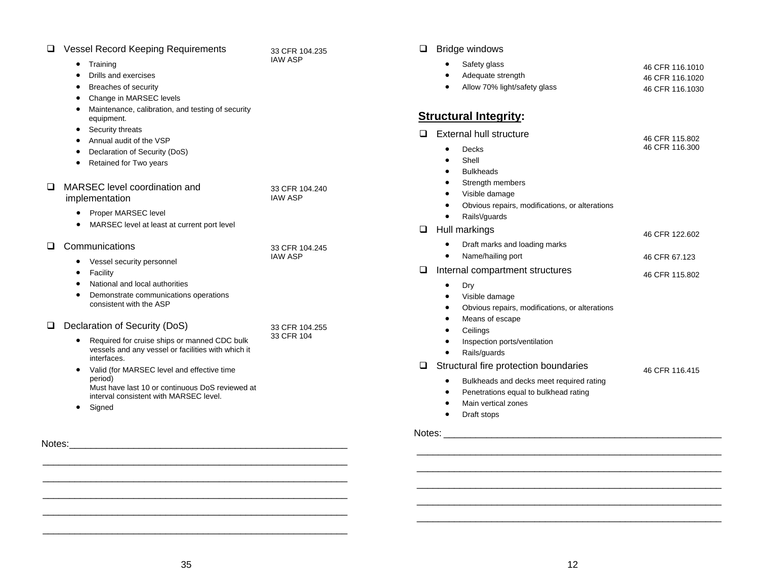| <b>Vessel Record Keeping Requirements</b>                                                                                                                              | 33 CFR 104.235                   | ❏<br>Bridge windows                                                                                                                                                                                            |                                                       |
|------------------------------------------------------------------------------------------------------------------------------------------------------------------------|----------------------------------|----------------------------------------------------------------------------------------------------------------------------------------------------------------------------------------------------------------|-------------------------------------------------------|
| Training<br>٠<br>Drills and exercises<br><b>Breaches of security</b><br>Change in MARSEC levels                                                                        | <b>IAW ASP</b>                   | Safety glass<br>٠<br>Adequate strength<br>٠<br>Allow 70% light/safety glass<br>$\bullet$                                                                                                                       | 46 CFR 116,1010<br>46 CFR 116.1020<br>46 CFR 116,1030 |
| Maintenance, calibration, and testing of security<br>equipment.                                                                                                        |                                  | <b>Structural Integrity:</b>                                                                                                                                                                                   |                                                       |
| Security threats<br>٠<br>Annual audit of the VSP<br>٠<br>Declaration of Security (DoS)<br>Retained for Two years                                                       |                                  | <b>External hull structure</b><br>$\Box$<br>Decks<br>$\bullet$<br>Shell<br><b>Bulkheads</b><br>$\bullet$                                                                                                       | 46 CFR 115.802<br>46 CFR 116,300                      |
| MARSEC level coordination and<br>ப<br>implementation<br>Proper MARSEC level                                                                                            | 33 CFR 104.240<br><b>IAW ASP</b> | Strength members<br>٠<br>Visible damage<br>$\bullet$<br>Obvious repairs, modifications, or alterations<br>$\bullet$<br>RailsVguards<br>$\bullet$                                                               |                                                       |
| MARSEC level at least at current port level                                                                                                                            |                                  | $\Box$<br>Hull markings                                                                                                                                                                                        | 46 CFR 122,602                                        |
| Communications<br>⊔<br>Vessel security personnel<br>$\bullet$                                                                                                          | 33 CFR 104.245<br><b>IAW ASP</b> | Draft marks and loading marks<br>Name/hailing port<br>$\bullet$                                                                                                                                                | 46 CFR 67.123                                         |
| Facility                                                                                                                                                               |                                  | ❏<br>Internal compartment structures                                                                                                                                                                           | 46 CFR 115.802                                        |
| National and local authorities<br>Demonstrate communications operations<br>consistent with the ASP                                                                     |                                  | Dry<br>٠<br>Visible damage<br>٠<br>Obvious repairs, modifications, or alterations<br>٠<br>Means of escape<br>٠                                                                                                 |                                                       |
| Declaration of Security (DoS)<br>❏<br>Required for cruise ships or manned CDC bulk<br>vessels and any vessel or facilities with which it<br>interfaces.                | 33 CFR 104.255<br>33 CFR 104     | Ceilings<br>$\bullet$<br>Inspection ports/ventilation<br>$\bullet$<br>Rails/guards<br>$\bullet$                                                                                                                |                                                       |
| Valid (for MARSEC level and effective time<br>٠<br>period)<br>Must have last 10 or continuous DoS reviewed at<br>interval consistent with MARSEC level.<br>Signed<br>٠ |                                  | Structural fire protection boundaries<br>$\Box$<br>Bulkheads and decks meet required rating<br>٠<br>Penetrations equal to bulkhead rating<br>٠<br>Main vertical zones<br>$\bullet$<br>Draft stops<br>$\bullet$ | 46 CFR 116.415                                        |
| Notes:                                                                                                                                                                 |                                  | Notes:                                                                                                                                                                                                         |                                                       |

 \_\_\_\_\_\_\_\_\_\_\_\_\_\_\_\_\_\_\_\_\_\_\_\_\_\_\_\_\_\_\_\_\_\_\_\_\_\_\_\_\_\_\_\_\_\_\_\_\_\_\_\_\_\_\_\_\_ \_\_\_\_\_\_\_\_\_\_\_\_\_\_\_\_\_\_\_\_\_\_\_\_\_\_\_\_\_\_\_\_\_\_\_\_\_\_\_\_\_\_\_\_\_\_\_\_\_\_\_\_\_\_\_\_\_

\_\_\_\_\_\_\_\_\_\_\_\_\_\_\_\_\_\_\_\_\_\_\_\_\_\_\_\_\_\_\_\_\_\_\_\_\_\_\_\_\_\_\_\_\_\_\_\_\_\_\_\_\_\_\_\_\_

 \_\_\_\_\_\_\_\_\_\_\_\_\_\_\_\_\_\_\_\_\_\_\_\_\_\_\_\_\_\_\_\_\_\_\_\_\_\_\_\_\_\_\_\_\_\_\_\_\_\_\_\_\_\_\_\_\_ \_\_\_\_\_\_\_\_\_\_\_\_\_\_\_\_\_\_\_\_\_\_\_\_\_\_\_\_\_\_\_\_\_\_\_\_\_\_\_\_\_\_\_\_\_\_\_\_\_\_\_\_\_\_\_\_\_

\_\_\_\_\_\_\_\_\_\_\_\_\_\_\_\_\_\_\_\_\_\_\_\_\_\_\_\_\_\_\_\_\_\_\_\_\_\_\_\_\_\_\_\_\_\_\_\_\_\_\_\_\_\_\_\_\_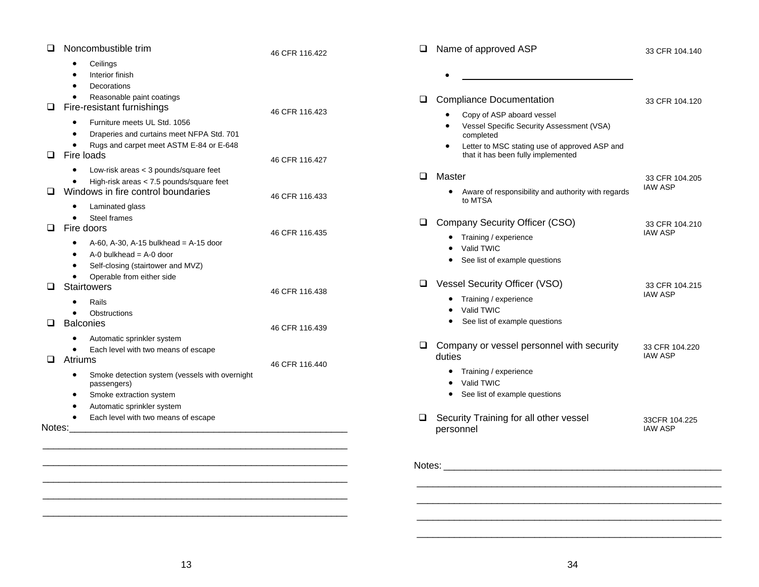| $\Box$           | Noncombustible trim                                                                                                                                                                                                               | 46 CFR 116.422                   | $\Box$ | Name of approved ASP                                                                                                                                                                    | 33 CFR 104.140                   |
|------------------|-----------------------------------------------------------------------------------------------------------------------------------------------------------------------------------------------------------------------------------|----------------------------------|--------|-----------------------------------------------------------------------------------------------------------------------------------------------------------------------------------------|----------------------------------|
|                  | Ceilings<br>Interior finish<br><b>Decorations</b><br>$\bullet$<br>Reasonable paint coatings<br>$\bullet$                                                                                                                          |                                  | $\Box$ | $\bullet$<br><b>Compliance Documentation</b>                                                                                                                                            | 33 CFR 104.120                   |
| $\Box$<br>$\Box$ | Fire-resistant furnishings<br>Furniture meets UL Std. 1056<br>$\bullet$<br>Draperies and curtains meet NFPA Std. 701<br>$\bullet$<br>Rugs and carpet meet ASTM E-84 or E-648<br>$\bullet$<br>Fire loads                           | 46 CFR 116.423<br>46 CFR 116.427 |        | Copy of ASP aboard vessel<br>Vessel Specific Security Assessment (VSA)<br>completed<br>Letter to MSC stating use of approved ASP and<br>$\bullet$<br>that it has been fully implemented |                                  |
| $\Box$           | Low-risk areas < 3 pounds/square feet<br>$\bullet$<br>High-risk areas < 7.5 pounds/square feet<br>$\bullet$<br>Windows in fire control boundaries                                                                                 | 46 CFR 116.433                   | $\Box$ | Master<br>Aware of responsibility and authority with regards<br>$\bullet$<br>to MTSA                                                                                                    | 33 CFR 104.205<br><b>IAW ASP</b> |
| $\Box$           | Laminated glass<br>$\bullet$<br><b>Steel frames</b><br>$\bullet$<br>Fire doors<br>A-60, A-30, A-15 bulkhead = $A-15$ door<br>$\bullet$                                                                                            | 46 CFR 116.435                   | $\Box$ | Company Security Officer (CSO)<br>Training / experience<br>٠<br>Valid TWIC                                                                                                              | 33 CFR 104.210<br><b>IAW ASP</b> |
| ◻                | $A-0$ bulkhead = $A-0$ door<br>$\bullet$<br>Self-closing (stairtower and MVZ)<br>$\bullet$<br>Operable from either side<br>$\bullet$<br>Stairtowers                                                                               | 46 CFR 116.438                   | Q.     | See list of example questions<br>Vessel Security Officer (VSO)                                                                                                                          | 33 CFR 104.215<br><b>IAW ASP</b> |
| $\Box$           | Rails<br>$\bullet$<br>Obstructions<br>$\bullet$<br><b>Balconies</b>                                                                                                                                                               | 46 CFR 116.439                   |        | Training / experience<br>Valid TWIC<br>See list of example questions                                                                                                                    |                                  |
| $\Box$           | Automatic sprinkler system<br>$\bullet$<br>Each level with two means of escape<br>$\bullet$<br>Atriums<br>Smoke detection system (vessels with overnight<br>٠<br>passengers)<br>Smoke extraction system<br>$\bullet$<br>$\bullet$ | 46 CFR 116.440                   | $\Box$ | Company or vessel personnel with security<br>duties<br>Training / experience<br>$\bullet$<br>Valid TWIC<br>$\bullet$<br>See list of example questions<br>$\bullet$                      | 33 CFR 104.220<br><b>IAW ASP</b> |
| Notes:           | Automatic sprinkler system<br>Each level with two means of escape<br>$\bullet$<br><u> 1989 - Johann John Stoff, deutscher Stoffen und der Stoffen und der Stoffen und der Stoffen und der Stoffen</u>                             |                                  | $\Box$ | Security Training for all other vessel<br>personnel                                                                                                                                     | 33CFR 104.225<br><b>IAW ASP</b>  |
|                  |                                                                                                                                                                                                                                   |                                  |        |                                                                                                                                                                                         |                                  |
|                  |                                                                                                                                                                                                                                   |                                  |        |                                                                                                                                                                                         |                                  |

 $\mathcal{L}_\text{max} = \mathcal{L}_\text{max} = \mathcal{L}_\text{max} = \mathcal{L}_\text{max} = \mathcal{L}_\text{max} = \mathcal{L}_\text{max} = \mathcal{L}_\text{max} = \mathcal{L}_\text{max} = \mathcal{L}_\text{max} = \mathcal{L}_\text{max} = \mathcal{L}_\text{max} = \mathcal{L}_\text{max} = \mathcal{L}_\text{max} = \mathcal{L}_\text{max} = \mathcal{L}_\text{max} = \mathcal{L}_\text{max} = \mathcal{L}_\text{max} = \mathcal{L}_\text{max} = \mathcal{$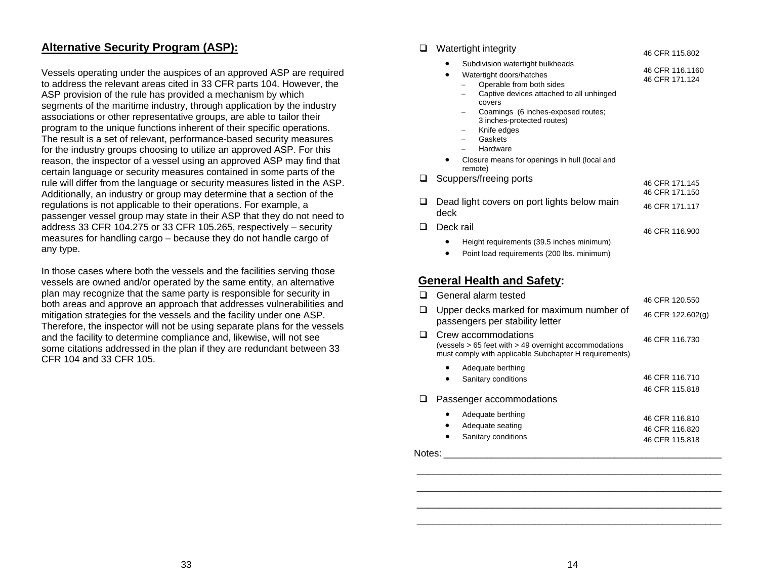#### **Alternative Security Program (ASP):**

Vessels operating under the auspices of an approved ASP are required to address the relevant areas cited in 33 CFR parts 104. However, the ASP provision of the rule has provided a mechanism by which segments of the maritime industry, through application by the industry associations or other representative groups, are able to tailor their program to the unique functions inherent of their specific operations. The result is a set of relevant, performance-based security measures for the industry groups choosing to utilize an approved ASP. For this reason, the inspector of a vessel using an approved ASP may find that certain language or security measures contained in some parts of the rule will differ from the language or security measures listed in the ASP. Additionally, an industry or group may determine that a section of the regulations is not applicable to their operations. For example, a passenger vessel group may state in their ASP that they do not need to address 33 CFR 104.275 or 33 CFR 105.265, respectively – security measures for handling cargo – because they do not handle cargo of any type.

In those cases where both the vessels and the facilities serving those vessels are owned and/or operated by the same entity, an alternative plan may recognize that the same party is responsible for security in both areas and approve an approach that addresses vulnerabilities and mitigation strategies for the vessels and the facility under one ASP. Therefore, the inspector will not be using separate plans for the vessels and the facility to determine compliance and, likewise, will not see some citations addressed in the plan if they are redundant between 33 CFR 104 and 33 CFR 105.

#### □ Watertight integrity • Subdivision watertight bulkheads • Watertight doors/hatches <sup>−</sup> Operable from both sides <sup>−</sup> Captive devices attached to all unhinged covers <sup>−</sup> Coamings (6 inches-exposed routes; 3 inches-protected routes) <sup>−</sup> Knife edges − Gaskets − Hardware • Closure means for openings in hull (local and remote) 46 CFR 115.802 46 CFR 116.1160 46 CFR 171.124□ Scuppers/freeing ports 46 CFR 171.145 46 CFR 171.150 □ Dead light covers on port lights below main <sub>46 CFR 171.117</sub><br>deck Deck rail • Height requirements (39.5 inches minimum) 46 CFR 116.900

- 
- •Point load requirements (200 lbs. minimum)

#### **General Health and Safety:**

|   | General alarm tested                                                                                                                   | 46 CFR 120.550                   |
|---|----------------------------------------------------------------------------------------------------------------------------------------|----------------------------------|
| ப | Upper decks marked for maximum number of<br>passengers per stability letter                                                            | 46 CFR 122.602(g)                |
| ப | Crew accommodations<br>(vessels > 65 feet with > 49 overnight accommodations<br>must comply with applicable Subchapter H requirements) | 46 CFR 116,730                   |
|   | Adequate berthing                                                                                                                      |                                  |
|   | Sanitary conditions<br>٠                                                                                                               | 46 CFR 116,710<br>46 CFR 115,818 |
|   | Passenger accommodations                                                                                                               |                                  |
|   | Adequate berthing                                                                                                                      | 46 CFR 116,810                   |
|   | Adequate seating<br>٠                                                                                                                  | 46 CFR 116,820                   |
|   | Sanitary conditions                                                                                                                    | 46 CFR 115.818                   |

Notes: \_\_\_\_\_\_\_\_\_\_\_\_\_\_\_\_\_\_\_\_\_\_\_\_\_\_\_\_\_\_\_\_\_\_\_\_\_\_\_\_\_\_\_\_\_\_\_\_\_\_\_\_

\_\_\_\_\_\_\_\_\_\_\_\_\_\_\_\_\_\_\_\_\_\_\_\_\_\_\_\_\_\_\_\_\_\_\_\_\_\_\_\_\_\_\_\_\_\_\_\_\_\_\_\_\_\_\_\_\_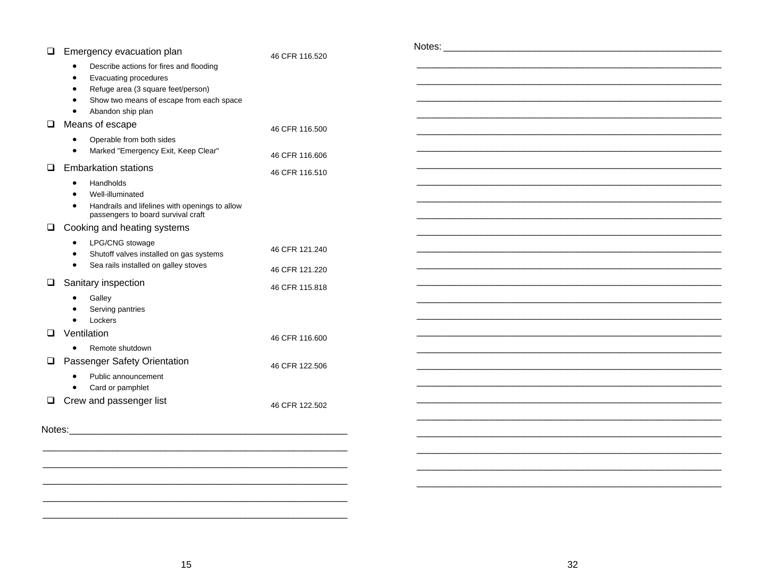| ⊔  | Emergency evacuation plan                                                                                                                                                            | 46 CFR 116.520 |
|----|--------------------------------------------------------------------------------------------------------------------------------------------------------------------------------------|----------------|
|    | Describe actions for fires and flooding<br>Evacuating procedures<br>$\bullet$<br>Refuge area (3 square feet/person)<br>Show two means of escape from each space<br>Abandon ship plan |                |
| ◻  | Means of escape                                                                                                                                                                      | 46 CFR 116,500 |
|    | Operable from both sides<br>Marked "Emergency Exit, Keep Clear"                                                                                                                      | 46 CFR 116,606 |
| ப  | <b>Embarkation stations</b>                                                                                                                                                          | 46 CFR 116.510 |
|    | Handholds<br>Well-illuminated<br>Handrails and lifelines with openings to allow<br>passengers to board survival craft                                                                |                |
| ப  | Cooking and heating systems                                                                                                                                                          |                |
|    | LPG/CNG stowage<br>Shutoff valves installed on gas systems                                                                                                                           | 46 CFR 121.240 |
|    | Sea rails installed on galley stoves                                                                                                                                                 | 46 CFR 121.220 |
| ⊔. | Sanitary inspection                                                                                                                                                                  | 46 CFR 115.818 |
|    | Galley<br>Serving pantries<br>Lockers                                                                                                                                                |                |
| n  | Ventilation                                                                                                                                                                          | 46 CFR 116.600 |
|    | Remote shutdown                                                                                                                                                                      |                |
| ப  | Passenger Safety Orientation                                                                                                                                                         | 46 CFR 122.506 |
|    | Public announcement<br>Card or pamphlet                                                                                                                                              |                |
| ப  | Crew and passenger list                                                                                                                                                              | 46 CFR 122.502 |
|    |                                                                                                                                                                                      |                |
|    |                                                                                                                                                                                      |                |
|    |                                                                                                                                                                                      |                |
|    |                                                                                                                                                                                      |                |
|    |                                                                                                                                                                                      |                |

 $\overline{\phantom{0}}$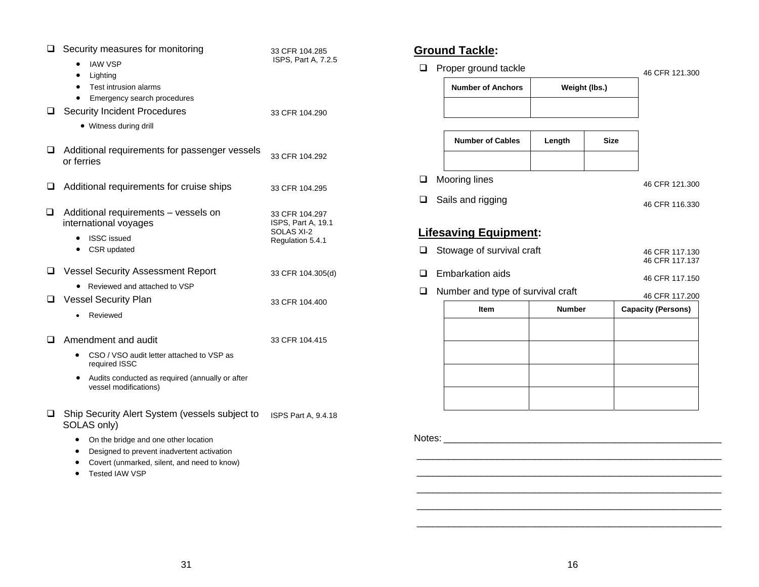| ப | Security measures for monitoring<br><b>IAW VSP</b><br>Lighting<br>٠<br>Test intrusion alarms<br>$\bullet$ | 33 CFR 104.285<br>ISPS, Part A, 7.2.5                                  |
|---|-----------------------------------------------------------------------------------------------------------|------------------------------------------------------------------------|
| ப | Emergency search procedures<br><b>Security Incident Procedures</b><br>• Witness during drill              | 33 CFR 104.290                                                         |
| ப | Additional requirements for passenger vessels<br>or ferries                                               | 33 CFR 104.292                                                         |
| ⊔ | Additional requirements for cruise ships                                                                  | 33 CFR 104.295                                                         |
| ◻ | Additional requirements - vessels on<br>international voyages<br><b>ISSC</b> issued<br>CSR updated<br>٠   | 33 CFR 104.297<br>ISPS, Part A, 19.1<br>SOLAS XI-2<br>Regulation 5.4.1 |
| ப | <b>Vessel Security Assessment Report</b>                                                                  | 33 CFR 104.305(d)                                                      |
| ப | Reviewed and attached to VSP<br><b>Vessel Security Plan</b><br>Reviewed                                   | 33 CFR 104.400                                                         |
| □ | Amendment and audit                                                                                       | 33 CFR 104.415                                                         |
|   | CSO / VSO audit letter attached to VSP as<br>required ISSC                                                |                                                                        |
|   | Audits conducted as required (annually or after<br>$\bullet$<br>vessel modifications)                     |                                                                        |
| ◻ | Ship Security Alert System (vessels subject to<br>SOLAS only)                                             | ISPS Part A, 9.4.18                                                    |
|   | On the bridge and one other location<br>Designed to prevent inadvertent activation<br>٠                   |                                                                        |

- Covert (unmarked, silent, and need to know)
- Tested IAW VSP

## **Ground Tackle:**

| ப | Proper ground tackle              | 46 CFR 121.300 |             |  |                                  |
|---|-----------------------------------|----------------|-------------|--|----------------------------------|
|   | <b>Number of Anchors</b>          | Weight (lbs.)  |             |  |                                  |
|   |                                   |                |             |  |                                  |
|   | <b>Number of Cables</b>           | Length         | <b>Size</b> |  |                                  |
|   |                                   |                |             |  |                                  |
| ❏ | Mooring lines                     |                |             |  | 46 CFR 121.300                   |
| □ | Sails and rigging                 |                |             |  | 46 CFR 116.330                   |
|   |                                   |                |             |  |                                  |
|   | <b>Lifesaving Equipment:</b>      |                |             |  |                                  |
| ❏ | Stowage of survival craft         |                |             |  | 46 CFR 117.130<br>46 CFR 117.137 |
| □ | <b>Embarkation aids</b>           |                |             |  | 46 CFR 117.150                   |
| □ | Number and type of survival craft |                |             |  | 46 CFR 117.200                   |
|   | <b>Item</b>                       | <b>Number</b>  |             |  | <b>Capacity (Persons)</b>        |
|   |                                   |                |             |  |                                  |
|   |                                   |                |             |  |                                  |
|   |                                   |                |             |  |                                  |
|   |                                   |                |             |  |                                  |
|   |                                   |                |             |  |                                  |
|   |                                   |                |             |  |                                  |

Notes: \_\_\_\_\_\_\_\_\_\_\_\_\_\_\_\_\_\_\_\_\_\_\_\_\_\_\_\_\_\_\_\_\_\_\_\_\_\_\_\_\_\_\_\_\_\_\_\_\_\_\_\_

 \_\_\_\_\_\_\_\_\_\_\_\_\_\_\_\_\_\_\_\_\_\_\_\_\_\_\_\_\_\_\_\_\_\_\_\_\_\_\_\_\_\_\_\_\_\_\_\_\_\_\_\_\_\_\_\_\_ \_\_\_\_\_\_\_\_\_\_\_\_\_\_\_\_\_\_\_\_\_\_\_\_\_\_\_\_\_\_\_\_\_\_\_\_\_\_\_\_\_\_\_\_\_\_\_\_\_\_\_\_\_\_\_\_\_ \_\_\_\_\_\_\_\_\_\_\_\_\_\_\_\_\_\_\_\_\_\_\_\_\_\_\_\_\_\_\_\_\_\_\_\_\_\_\_\_\_\_\_\_\_\_\_\_\_\_\_\_\_\_\_\_\_ \_\_\_\_\_\_\_\_\_\_\_\_\_\_\_\_\_\_\_\_\_\_\_\_\_\_\_\_\_\_\_\_\_\_\_\_\_\_\_\_\_\_\_\_\_\_\_\_\_\_\_\_\_\_\_\_\_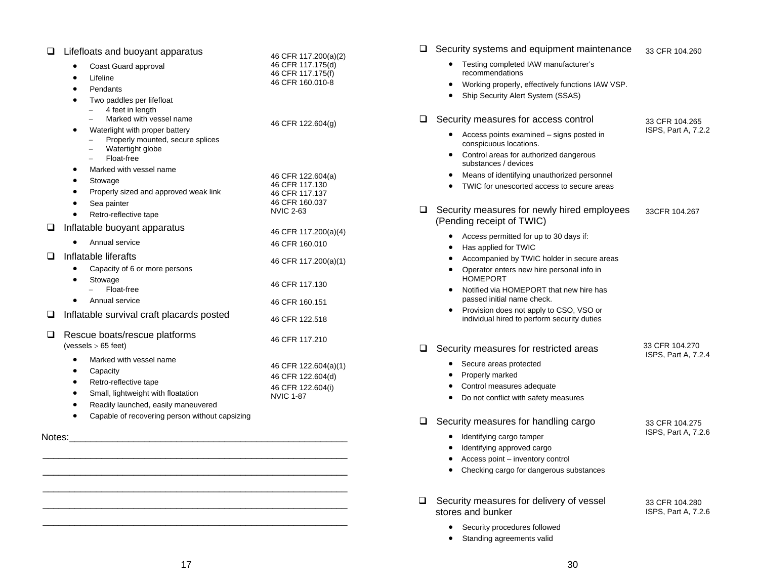| ❏      | Lifefloats and buoyant apparatus                                   | 46 CFR 117.200(a)(2)                      |
|--------|--------------------------------------------------------------------|-------------------------------------------|
|        | Coast Guard approval                                               | 46 CFR 117.175(d)                         |
|        | Lifeline<br>$\bullet$                                              | 46 CFR 117.175(f)<br>46 CFR 160.010-8     |
|        | Pendants<br>$\bullet$                                              |                                           |
|        | Two paddles per lifefloat<br>$\bullet$                             |                                           |
|        | 4 feet in length<br>Marked with vessel name                        |                                           |
|        |                                                                    | 46 CFR 122.604(g)                         |
|        | Waterlight with proper battery<br>Properly mounted, secure splices |                                           |
|        | Watertight globe                                                   |                                           |
|        | Float-free<br>$\equiv$                                             |                                           |
|        | Marked with vessel name                                            | 46 CFR 122.604(a)                         |
|        | Stowage                                                            | 46 CFR 117.130                            |
|        | Properly sized and approved weak link                              | 46 CFR 117.137                            |
|        | Sea painter                                                        | 46 CFR 160.037<br><b>NVIC 2-63</b>        |
|        | Retro-reflective tape                                              |                                           |
| u      | Inflatable buoyant apparatus                                       | 46 CFR 117.200(a)(4)                      |
|        | Annual service                                                     | 46 CFR 160.010                            |
| ப      | Inflatable liferafts                                               | 46 CFR 117.200(a)(1)                      |
|        | Capacity of 6 or more persons                                      |                                           |
|        | Stowage<br>$\bullet$                                               | 46 CFR 117.130                            |
|        | Float-free                                                         |                                           |
|        | Annual service                                                     | 46 CFR 160.151                            |
| ❏      | Inflatable survival craft placards posted                          | 46 CFR 122.518                            |
| ◻      | Rescue boats/rescue platforms                                      | 46 CFR 117.210                            |
|        | (vessels > 65 feet)                                                |                                           |
|        | Marked with vessel name                                            |                                           |
|        | Capacity                                                           | 46 CFR 122.604(a)(1)<br>46 CFR 122.604(d) |
|        | Retro-reflective tape                                              | 46 CFR 122.604(i)                         |
|        | Small, lightweight with floatation<br>٠                            | <b>NVIC 1-87</b>                          |
|        | Readily launched, easily maneuvered                                |                                           |
|        | Capable of recovering person without capsizing                     |                                           |
| Notes: |                                                                    |                                           |
|        |                                                                    |                                           |

|        | $\Box$ Security systems and equipment maintenance                                                       | 33 CFR 104.260                        |
|--------|---------------------------------------------------------------------------------------------------------|---------------------------------------|
|        | Testing completed IAW manufacturer's<br>recommendations                                                 |                                       |
|        | Working properly, effectively functions IAW VSP.<br>$\bullet$<br>Ship Security Alert System (SSAS)<br>٠ |                                       |
| Q.     | Security measures for access control                                                                    | 33 CFR 104.265                        |
|        | Access points examined - signs posted in<br>conspicuous locations.                                      | ISPS, Part A, 7.2.2                   |
|        | Control areas for authorized dangerous<br>٠<br>substances / devices                                     |                                       |
|        | Means of identifying unauthorized personnel                                                             |                                       |
|        | TWIC for unescorted access to secure areas                                                              |                                       |
| ⊔      | Security measures for newly hired employees<br>(Pending receipt of TWIC)                                | 33CFR 104.267                         |
|        | Access permitted for up to 30 days if:<br>Has applied for TWIC<br>$\bullet$                             |                                       |
|        | Accompanied by TWIC holder in secure areas<br>$\bullet$                                                 |                                       |
|        | Operator enters new hire personal info in<br>٠<br><b>HOMEPORT</b>                                       |                                       |
|        | Notified via HOMEPORT that new hire has<br>$\bullet$<br>passed initial name check.                      |                                       |
|        | Provision does not apply to CSO, VSO or<br>individual hired to perform security duties                  |                                       |
| $\Box$ | Security measures for restricted areas                                                                  | 33 CFR 104.270                        |
|        | Secure areas protected<br>٠                                                                             | ISPS, Part A, 7.2.4                   |
|        | Properly marked                                                                                         |                                       |
|        | Control measures adequate<br>$\bullet$                                                                  |                                       |
|        | Do not conflict with safety measures<br>$\bullet$                                                       |                                       |
| ❏      | Security measures for handling cargo                                                                    | 33 CFR 104.275                        |
|        | Identifying cargo tamper                                                                                | ISPS, Part A, 7.2.6                   |
|        | Identifying approved cargo<br>$\bullet$                                                                 |                                       |
|        | Access point - inventory control<br>$\bullet$                                                           |                                       |
|        | Checking cargo for dangerous substances                                                                 |                                       |
| ❏      | Security measures for delivery of vessel<br>stores and bunker                                           | 33 CFR 104.280<br>ISPS, Part A, 7.2.6 |
|        | Security procedures followed                                                                            |                                       |
|        | Standing agreements valid<br>$\bullet$                                                                  |                                       |

 \_\_\_\_\_\_\_\_\_\_\_\_\_\_\_\_\_\_\_\_\_\_\_\_\_\_\_\_\_\_\_\_\_\_\_\_\_\_\_\_\_\_\_\_\_\_\_\_\_\_\_\_\_\_\_\_\_ \_\_\_\_\_\_\_\_\_\_\_\_\_\_\_\_\_\_\_\_\_\_\_\_\_\_\_\_\_\_\_\_\_\_\_\_\_\_\_\_\_\_\_\_\_\_\_\_\_\_\_\_\_\_\_\_\_

 \_\_\_\_\_\_\_\_\_\_\_\_\_\_\_\_\_\_\_\_\_\_\_\_\_\_\_\_\_\_\_\_\_\_\_\_\_\_\_\_\_\_\_\_\_\_\_\_\_\_\_\_\_\_\_\_\_  $\mathcal{L}_\text{max} = \mathcal{L}_\text{max} = \mathcal{L}_\text{max} = \mathcal{L}_\text{max} = \mathcal{L}_\text{max} = \mathcal{L}_\text{max} = \mathcal{L}_\text{max} = \mathcal{L}_\text{max} = \mathcal{L}_\text{max} = \mathcal{L}_\text{max} = \mathcal{L}_\text{max} = \mathcal{L}_\text{max} = \mathcal{L}_\text{max} = \mathcal{L}_\text{max} = \mathcal{L}_\text{max} = \mathcal{L}_\text{max} = \mathcal{L}_\text{max} = \mathcal{L}_\text{max} = \mathcal{$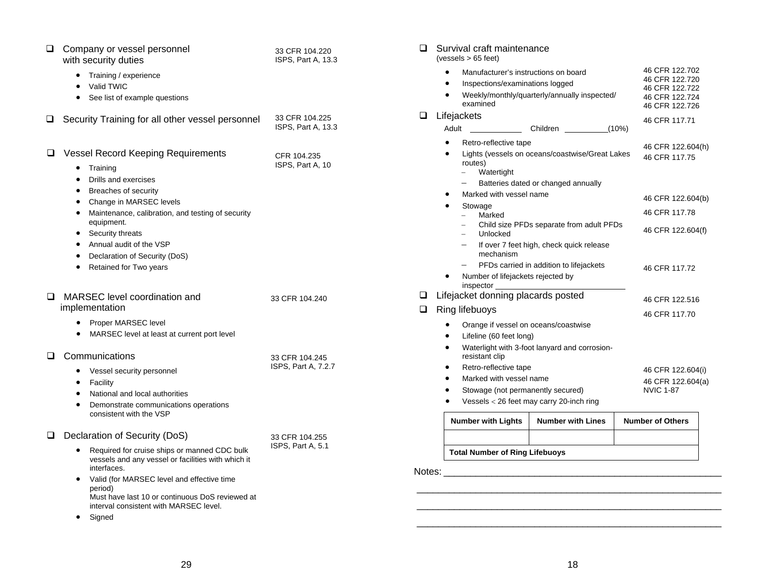| u      | Company or vessel personnel<br>with security duties                                                                                                                                                                                                                                                                                                                    | 33 CFR 104.220<br>ISPS, Part A, 13.3  |
|--------|------------------------------------------------------------------------------------------------------------------------------------------------------------------------------------------------------------------------------------------------------------------------------------------------------------------------------------------------------------------------|---------------------------------------|
|        | Training / experience<br>Valid TWIC<br>$\bullet$<br>See list of example questions<br>$\bullet$                                                                                                                                                                                                                                                                         |                                       |
| u      | Security Training for all other vessel personnel                                                                                                                                                                                                                                                                                                                       | 33 CFR 104.225<br>ISPS, Part A, 13.3  |
| ப      | <b>Vessel Record Keeping Requirements</b><br>Training<br>Drills and exercises<br>$\bullet$<br>Breaches of security<br>Change in MARSEC levels<br>$\bullet$<br>Maintenance, calibration, and testing of security<br>$\bullet$<br>equipment.<br>Security threats<br>Annual audit of the VSP<br>$\bullet$<br>Declaration of Security (DoS)<br>٠<br>Retained for Two years | CFR 104.235<br>ISPS, Part A, 10       |
| $\Box$ | MARSEC level coordination and<br>implementation                                                                                                                                                                                                                                                                                                                        | 33 CFR 104.240                        |
|        | Proper MARSEC level<br>٠<br>MARSEC level at least at current port level                                                                                                                                                                                                                                                                                                |                                       |
| ப      | Communications<br>Vessel security personnel<br>$\bullet$<br>Facility<br>٠<br>National and local authorities<br>٠<br>$\bullet$<br>Demonstrate communications operations<br>consistent with the VSP                                                                                                                                                                      | 33 CFR 104.245<br>ISPS, Part A, 7.2.7 |
| ப      | Declaration of Security (DoS)<br>Required for cruise ships or manned CDC bulk<br>$\bullet$<br>vessels and any vessel or facilities with which it<br>interfaces.<br>Valid (for MARSEC level and effective time<br>period)<br>Must have last 10 or continuous DoS reviewed at<br>interval consistent with MARSEC level.<br>Signed                                        | 33 CFR 104.255<br>ISPS, Part A, 5.1   |

| ப                     | Survival craft maintenance<br>(vessels > 65 feet) |                                                                                                                         |                   |                                                                                        |
|-----------------------|---------------------------------------------------|-------------------------------------------------------------------------------------------------------------------------|-------------------|----------------------------------------------------------------------------------------|
|                       | examined                                          | Manufacturer's instructions on board<br>Inspections/examinations logged<br>Weekly/monthly/quarterly/annually inspected/ |                   | 46 CFR 122.702<br>46 CFR 122.720<br>46 CFR 122.722<br>46 CFR 122.724<br>46 CFR 122.726 |
| $\mathbf{\mathbf{I}}$ | Lifejackets                                       |                                                                                                                         |                   | 46 CFR 117.71                                                                          |
|                       | Adult                                             | Children                                                                                                                |                   | (10%)                                                                                  |
|                       | Retro-reflective tape                             |                                                                                                                         |                   | 46 CFR 122.604(h)                                                                      |
|                       | routes)<br>Watertight                             | Lights (vessels on oceans/coastwise/Great Lakes                                                                         |                   | 46 CFR 117.75                                                                          |
|                       |                                                   | Batteries dated or changed annually                                                                                     |                   |                                                                                        |
|                       | Marked with vessel name                           |                                                                                                                         |                   | 46 CFR 122.604(b)                                                                      |
|                       | Stowage                                           |                                                                                                                         |                   | 46 CFR 117.78                                                                          |
|                       | Marked<br>Unlocked                                | Child size PFDs separate from adult PFDs                                                                                |                   | 46 CFR 122.604(f)                                                                      |
|                       | mechanism                                         | If over 7 feet high, check quick release                                                                                |                   |                                                                                        |
|                       |                                                   | PFDs carried in addition to lifejackets                                                                                 |                   | 46 CFR 117.72                                                                          |
|                       | inspector                                         | Number of lifejackets rejected by                                                                                       |                   |                                                                                        |
| ப                     | Lifejacket donning placards posted                |                                                                                                                         |                   | 46 CFR 122.516                                                                         |
| ப                     | Ring lifebuoys                                    |                                                                                                                         |                   |                                                                                        |
|                       |                                                   | Orange if vessel on oceans/coastwise                                                                                    |                   | 46 CFR 117.70                                                                          |
|                       | Lifeline (60 feet long)                           |                                                                                                                         |                   |                                                                                        |
|                       | resistant clip                                    | Waterlight with 3-foot lanyard and corrosion-                                                                           |                   |                                                                                        |
|                       | Retro-reflective tape                             |                                                                                                                         |                   | 46 CFR 122.604(i)                                                                      |
|                       | Marked with vessel name                           |                                                                                                                         | 46 CFR 122.604(a) |                                                                                        |
|                       | Stowage (not permanently secured)                 |                                                                                                                         |                   | <b>NVIC 1-87</b>                                                                       |
|                       |                                                   | Vessels < 26 feet may carry 20-inch ring                                                                                |                   |                                                                                        |
|                       | <b>Number with Lights</b>                         | <b>Number with Lines</b>                                                                                                |                   | <b>Number of Others</b>                                                                |

#### **Total Number of Ring Lifebuoys**

Notes: \_\_\_\_\_\_\_\_\_\_\_\_\_\_\_\_\_\_\_\_\_\_\_\_\_\_\_\_\_\_\_\_\_\_\_\_\_\_\_\_\_\_\_\_\_\_\_\_\_\_\_\_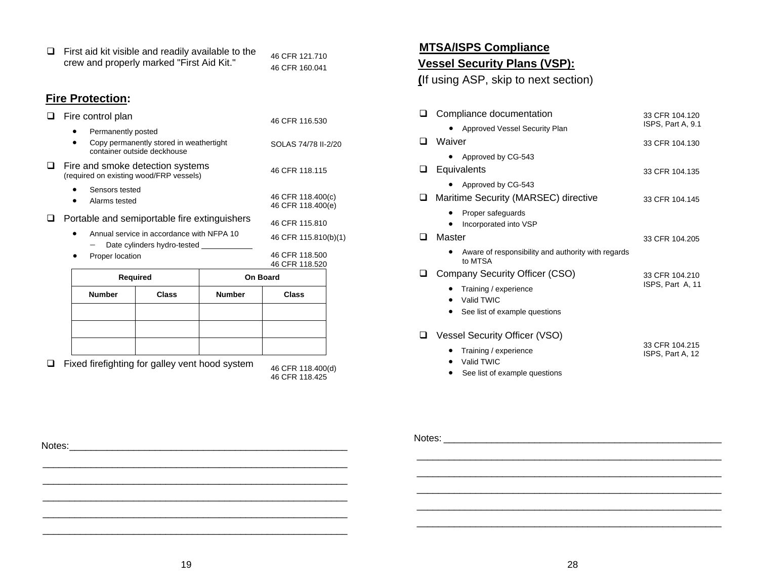|   | <b>Number</b>                                      | <b>Class</b>                                                                  | <b>Number</b> | <b>Class</b>                           |  |
|---|----------------------------------------------------|-------------------------------------------------------------------------------|---------------|----------------------------------------|--|
|   |                                                    | <b>Required</b>                                                               |               | On Board                               |  |
|   | Proper location                                    |                                                                               |               | 46 CFR 118,500<br>46 CFR 118.520       |  |
|   |                                                    | Annual service in accordance with NFPA 10<br>Date cylinders hydro-tested ____ |               | 46 CFR 115.810(b)(1)                   |  |
| ப |                                                    | Portable and semiportable fire extinguishers                                  |               | 46 CFR 115,810                         |  |
|   | Sensors tested<br>Alarms tested                    |                                                                               |               | 46 CFR 118.400(c)<br>46 CFR 118.400(e) |  |
| ப |                                                    | Fire and smoke detection systems<br>(required on existing wood/FRP vessels)   |               | 46 CFR 118.115                         |  |
|   | Permanently posted                                 | Copy permanently stored in weathertight<br>container outside deckhouse        |               | SOLAS 74/78 II-2/20                    |  |
|   | Fire control plan                                  |                                                                               |               | 46 CFR 116.530                         |  |
|   | <b>Fire Protection:</b>                            |                                                                               |               |                                        |  |
|   |                                                    | crew and properly marked "First Aid Kit."                                     |               | 46 CFR 121.710<br>46 CFR 160.041       |  |
| ◻ | First aid kit visible and readily available to the |                                                                               |               |                                        |  |

 $\Box$  Fixed firefighting for galley vent hood system

46 CFR 118.425

**MTSA/ISPS Compliance**

## **Vessel Security Plans (VSP):**

**(**If using ASP, skip to next section)

| 33 CFR 104.120                     |
|------------------------------------|
| ISPS, Part A, 9.1                  |
| 33 CFR 104.130                     |
|                                    |
| 33 CFR 104.135                     |
|                                    |
| 33 CFR 104.145                     |
|                                    |
| 33 CFR 104.205                     |
|                                    |
| 33 CFR 104.210                     |
| ISPS, Part A, 11                   |
|                                    |
|                                    |
| 33 CFR 104.215<br>ISPS, Part A, 12 |
|                                    |
|                                    |

| Notes: | Notes: |
|--------|--------|
|        |        |
|        |        |
|        |        |

\_\_\_\_\_\_\_\_\_\_\_\_\_\_\_\_\_\_\_\_\_\_\_\_\_\_\_\_\_\_\_\_\_\_\_\_\_\_\_\_\_\_\_\_\_\_\_\_\_\_\_\_\_\_\_\_\_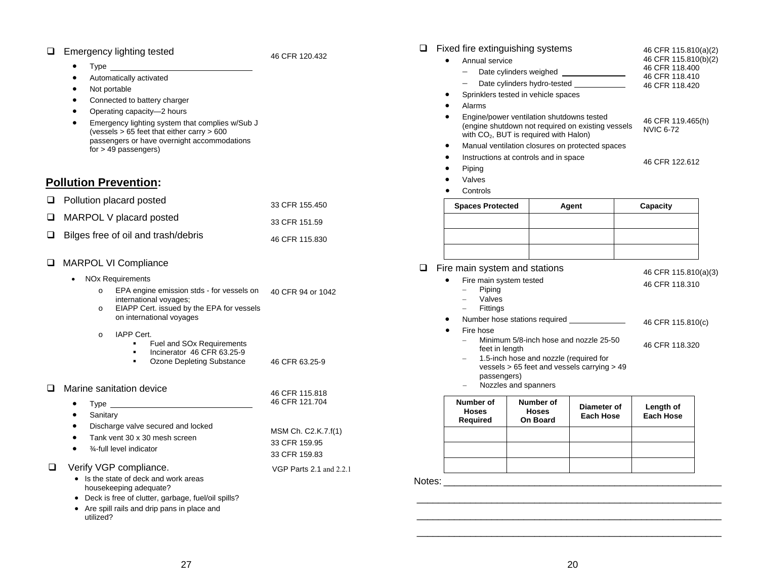#### **Emergency lighting tested**

46 CFR 120.432

- $\bullet$ Type
- •Automatically activated
- •Not portable
- •Connected to battery charger
- •Operating capacity—2 hours
- • Emergency lighting system that complies w/Sub J (vessels > 65 feet that either carry > 600 passengers or have overnight accommodations for > 49 passengers)

#### **Pollution Prevention:**

| $\Box$ Pollution placard posted            | 33 CFR 155.450 |
|--------------------------------------------|----------------|
| $\Box$ MARPOL V placard posted             | 33 CFR 151.59  |
| $\Box$ Bilges free of oil and trash/debris | 46 CFR 115.830 |

#### **Q** MARPOL VI Compliance

- NOx Requirements
	- <sup>o</sup> EPA engine emission stds for vessels on 40 CFR 94 or 1042 international voyages;
	- <sup>o</sup> EIAPP Cert. issued by the EPA for vessels on international voyages
	- o IAPP Cert.
		- **Fuel and SOx Requirements**
		- Incinerator 46 CFR 63.25-9
		- **•** Ozone Depleting Substance 46 CFR 63.25-9
- □ Marine sanitation device

| Manne Sanitation device                                                                                                                         | 46 CFR 115.818                                        |
|-------------------------------------------------------------------------------------------------------------------------------------------------|-------------------------------------------------------|
| Type<br>٠                                                                                                                                       | 46 CFR 121.704                                        |
| Sanitary<br>٠                                                                                                                                   |                                                       |
| Discharge valve secured and locked<br>٠<br>Tank vent 30 x 30 mesh screen<br>$\bullet$<br>3⁄4-full level indicator<br>$\bullet$                  | MSM Ch. C2.K.7.f(1)<br>33 CFR 159.95<br>33 CFR 159.83 |
| Verify VGP compliance.<br>• Is the state of deck and work areas<br>housekeeping adequate?<br>• Deck is free of clutter narbage fuel/oil spills? | VGP Parts 2.1 and 2.2.1                               |

- eck is free of clutter, garbage, fuel/oil spills?
- Are spill rails and drip pans in place and utilized?

| <b>Spaces Protected</b>                                                                                                                              | Agent                                 | Capacity                               |
|------------------------------------------------------------------------------------------------------------------------------------------------------|---------------------------------------|----------------------------------------|
| Controls                                                                                                                                             |                                       |                                        |
| Valves                                                                                                                                               |                                       |                                        |
| Piping                                                                                                                                               |                                       |                                        |
| Instructions at controls and in space                                                                                                                | 46 CFR 122.612                        |                                        |
| Manual ventilation closures on protected spaces                                                                                                      |                                       |                                        |
| Engine/power ventilation shutdowns tested<br>(engine shutdown not required on existing vessels<br>with CO <sub>2</sub> , BUT is required with Halon) | 46 CFR 119.465(h)<br><b>NVIC 6-72</b> |                                        |
| Alarms                                                                                                                                               |                                       |                                        |
| Sprinklers tested in vehicle spaces                                                                                                                  |                                       | 46 CFR 118.420                         |
| Date cylinders weighed<br>Date cylinders hydro-tested                                                                                                |                                       | 46 CFR 118.410                         |
| Annual service                                                                                                                                       |                                       | 46 CFR 115.810(b)(2)<br>46 CFR 118.400 |
|                                                                                                                                                      |                                       |                                        |

 $\Box$  Fire main system and stations

|           | re main system and stations                         | 46 CFR 115.810(a)(3) |
|-----------|-----------------------------------------------------|----------------------|
| $\bullet$ | Fire main system tested<br>Piping                   | 46 CFR 118.310       |
|           | Valves<br>Fittings<br>$\alpha \rightarrow \alpha$   |                      |
| $\bullet$ | Number hose stations required                       | 46 CFR 115.810(c)    |
| $\bullet$ | Fire hose<br>Minimum 5/8-inch hose and nozzle 25-50 |                      |
|           | foot in longth                                      | 46 CFR 118.320       |

- feet in length <sup>−</sup> 1.5-inch hose and nozzle (required for vessels > 65 feet and vessels carrying > 49 passengers)
- <sup>−</sup> Nozzles and spanners

| Number of<br><b>Hoses</b><br><b>Required</b> | Number of<br><b>Hoses</b><br>On Board | Diameter of<br>Each Hose | Length of<br><b>Each Hose</b> |
|----------------------------------------------|---------------------------------------|--------------------------|-------------------------------|
|                                              |                                       |                          |                               |
|                                              |                                       |                          |                               |
|                                              |                                       |                          |                               |

Notes: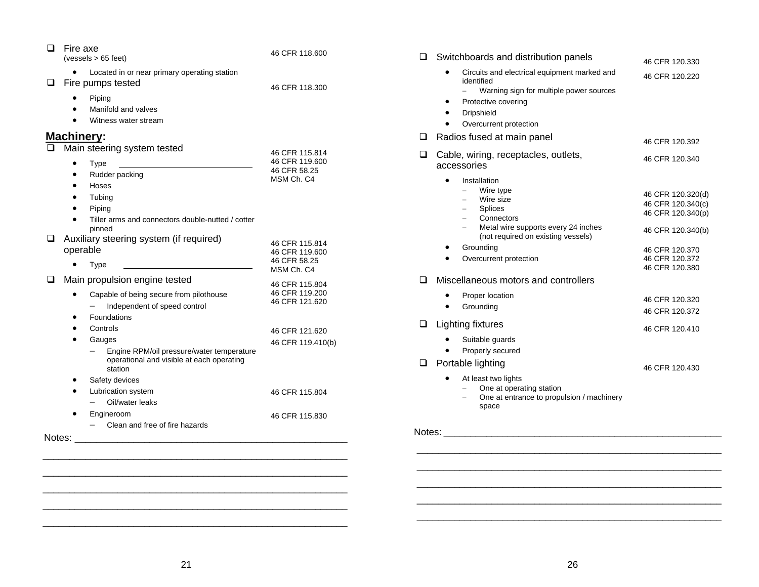| ❏<br>Fire axe<br>(vessels > 65 feet)                                                                                                                                                                                                                                                                                | 46 CFR 118,600                                                                                          | $\Box$<br>Switchboards and distribution panels                                                                                                                                                                  | 46 CFR 120.330                                                       |
|---------------------------------------------------------------------------------------------------------------------------------------------------------------------------------------------------------------------------------------------------------------------------------------------------------------------|---------------------------------------------------------------------------------------------------------|-----------------------------------------------------------------------------------------------------------------------------------------------------------------------------------------------------------------|----------------------------------------------------------------------|
| • Located in or near primary operating station<br>Fire pumps tested<br>⊔<br>Piping<br>٠<br>Manifold and valves<br>Witness water stream                                                                                                                                                                              | 46 CFR 118.300                                                                                          | Circuits and electrical equipment marked and<br>$\bullet$<br>identified<br>- Warning sign for multiple power sources<br>Protective covering<br>$\bullet$<br>Dripshield<br>Overcurrent protection<br>$\bullet$   | 46 CFR 120.220                                                       |
| Machinery:<br>Main steering system tested<br>Type                                                                                                                                                                                                                                                                   | 46 CFR 115.814<br>46 CFR 119.600                                                                        | $\Box$<br>Radios fused at main panel<br>Cable, wiring, receptacles, outlets,<br>$\Box$                                                                                                                          | 46 CFR 120.392<br>46 CFR 120.340                                     |
| Rudder packing<br>Hoses<br>Tubing<br>Piping<br>Tiller arms and connectors double-nutted / cotter                                                                                                                                                                                                                    | 46 CFR 58.25<br>MSM Ch. C4                                                                              | accessories<br>Installation<br>$\bullet$<br>Wire type<br>Wire size<br><b>Splices</b><br>Connectors                                                                                                              | 46 CFR 120.320(d)<br>46 CFR 120.340(c)<br>46 CFR 120.340(p)          |
| pinned<br>Auxiliary steering system (if required)<br>Q.<br>operable<br>Type<br><u>and the state of the state of the state of the state of the state of the state of the state of the state of the state of the state of the state of the state of the state of the state of the state of the state of the state</u> | 46 CFR 115.814<br>46 CFR 119.600<br>46 CFR 58.25                                                        | Metal wire supports every 24 inches<br>(not required on existing vessels)<br>Grounding<br>Overcurrent protection                                                                                                | 46 CFR 120.340(b)<br>46 CFR 120.370<br>46 CFR 120.372                |
| Main propulsion engine tested<br>$\Box$<br>Capable of being secure from pilothouse<br>٠<br>Independent of speed control<br>Foundations<br>Controls<br>Gauges<br>Engine RPM/oil pressure/water temperature                                                                                                           | MSM Ch. C4<br>46 CFR 115.804<br>46 CFR 119.200<br>46 CFR 121.620<br>46 CFR 121.620<br>46 CFR 119.410(b) | Miscellaneous motors and controllers<br>$\Box$<br>Proper location<br>$\bullet$<br>Grounding<br>$\bullet$<br>$\Box$<br><b>Lighting fixtures</b><br>Suitable guards<br>$\bullet$<br>Properly secured<br>$\bullet$ | 46 CFR 120.380<br>46 CFR 120.320<br>46 CFR 120.372<br>46 CFR 120.410 |
| operational and visible at each operating<br>station<br>Safety devices<br>Lubrication system<br>Oil/water leaks<br>$\qquad \qquad -$<br>Engineroom                                                                                                                                                                  | 46 CFR 115.804<br>46 CFR 115.830                                                                        | Portable lighting<br>$\Box$<br>At least two lights<br>One at operating station<br>One at entrance to propulsion / machinery<br>space                                                                            | 46 CFR 120.430                                                       |
| $-$ Clean and free of fire hazards                                                                                                                                                                                                                                                                                  |                                                                                                         |                                                                                                                                                                                                                 |                                                                      |
|                                                                                                                                                                                                                                                                                                                     |                                                                                                         |                                                                                                                                                                                                                 |                                                                      |

\_\_\_\_\_\_\_\_\_\_\_\_\_\_\_\_\_\_\_\_\_\_\_\_\_\_\_\_\_\_\_\_\_\_\_\_\_\_\_\_\_\_\_\_\_\_\_\_\_\_\_\_\_\_\_\_\_

 $\mathcal{L}_\text{max} = \mathcal{L}_\text{max} = \mathcal{L}_\text{max} = \mathcal{L}_\text{max} = \mathcal{L}_\text{max} = \mathcal{L}_\text{max} = \mathcal{L}_\text{max} = \mathcal{L}_\text{max} = \mathcal{L}_\text{max} = \mathcal{L}_\text{max} = \mathcal{L}_\text{max} = \mathcal{L}_\text{max} = \mathcal{L}_\text{max} = \mathcal{L}_\text{max} = \mathcal{L}_\text{max} = \mathcal{L}_\text{max} = \mathcal{L}_\text{max} = \mathcal{L}_\text{max} = \mathcal{$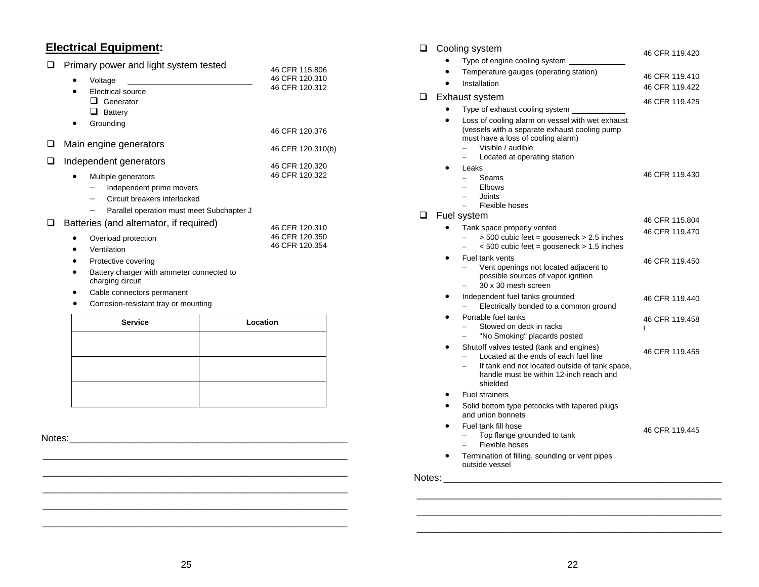## **Electrical Equipment:**

|   | Primary power and light system tested                                                                                        | 46 CFR 115,806                   |
|---|------------------------------------------------------------------------------------------------------------------------------|----------------------------------|
|   | Voltage                                                                                                                      | 46 CFR 120.310                   |
|   | Electrical source<br>$\Box$<br>Generator                                                                                     | 46 CFR 120.312                   |
|   | ப<br>Battery                                                                                                                 |                                  |
|   | Grounding                                                                                                                    | 46 CFR 120.376                   |
|   | Main engine generators                                                                                                       | 46 CFR 120.310(b)                |
| □ | Independent generators                                                                                                       | 46 CFR 120.320                   |
|   | Multiple generators<br>Independent prime movers<br>Circuit breakers interlocked<br>Parallel operation must meet Subchapter J | 46 CFR 120.322                   |
|   | Batteries (and alternator, if required)                                                                                      | 46 CFR 120.310                   |
|   | Overload protection<br>Ventilation<br>Protective covering                                                                    | 46 CFR 120.350<br>46 CFR 120.354 |
|   | Battery charger with ammeter connected to<br>charging circuit                                                                |                                  |
|   | Cable connectors permanent                                                                                                   |                                  |
|   | Corrosion-resistant tray or mounting                                                                                         |                                  |
|   |                                                                                                                              |                                  |

| <b>Service</b> | Location |
|----------------|----------|
|                |          |
|                |          |
|                |          |
|                |          |
|                |          |
|                |          |

Notes: \_\_\_\_\_\_\_\_\_\_\_\_\_\_\_\_\_\_\_\_\_\_\_\_\_\_\_\_\_\_\_\_\_\_\_\_\_\_\_\_\_\_\_\_\_\_\_\_\_\_\_\_

| ❏      | Cooling system<br>46 CFR 119.420 |                                                                                                                                                                                              |                |  |  |
|--------|----------------------------------|----------------------------------------------------------------------------------------------------------------------------------------------------------------------------------------------|----------------|--|--|
|        |                                  | Type of engine cooling system                                                                                                                                                                |                |  |  |
|        |                                  | Temperature gauges (operating station)                                                                                                                                                       | 46 CFR 119.410 |  |  |
|        |                                  | Installation                                                                                                                                                                                 | 46 CFR 119.422 |  |  |
| ப      |                                  | Exhaust system                                                                                                                                                                               | 46 CFR 119.425 |  |  |
|        |                                  | Type of exhaust cooling system                                                                                                                                                               |                |  |  |
|        |                                  | Loss of cooling alarm on vessel with wet exhaust<br>(vessels with a separate exhaust cooling pump<br>must have a loss of cooling alarm)<br>Visible / audible<br>Located at operating station |                |  |  |
|        |                                  | Leaks<br>$\equiv$                                                                                                                                                                            | 46 CFR 119.430 |  |  |
|        |                                  | Seams<br><b>Elbows</b>                                                                                                                                                                       |                |  |  |
|        |                                  | Joints<br>$\equiv$                                                                                                                                                                           |                |  |  |
| ◻      |                                  | Flexible hoses<br>Fuel system                                                                                                                                                                |                |  |  |
|        |                                  | Tank space properly vented                                                                                                                                                                   | 46 CFR 115.804 |  |  |
|        |                                  | $>$ 500 cubic feet = gooseneck $>$ 2.5 inches<br>$<$ 500 cubic feet = gooseneck > 1.5 inches<br>$\equiv$                                                                                     | 46 CFR 119.470 |  |  |
|        |                                  | Fuel tank vents<br>Vent openings not located adjacent to<br>possible sources of vapor ignition<br>30 x 30 mesh screen                                                                        | 46 CFR 119.450 |  |  |
|        |                                  | Independent fuel tanks grounded<br>Electrically bonded to a common ground                                                                                                                    | 46 CFR 119.440 |  |  |
|        |                                  | Portable fuel tanks<br>Stowed on deck in racks<br>"No Smoking" placards posted                                                                                                               | 46 CFR 119.458 |  |  |
|        |                                  | Shutoff valves tested (tank and engines)<br>Located at the ends of each fuel line<br>If tank end not located outside of tank space,<br>handle must be within 12-inch reach and<br>shielded   | 46 CFR 119.455 |  |  |
|        |                                  | <b>Fuel strainers</b>                                                                                                                                                                        |                |  |  |
|        |                                  | Solid bottom type petcocks with tapered plugs<br>and union bonnets                                                                                                                           |                |  |  |
|        |                                  | Fuel tank fill hose<br>Top flange grounded to tank<br>Flexible hoses                                                                                                                         | 46 CFR 119.445 |  |  |
|        |                                  | Termination of filling, sounding or vent pipes<br>outside vessel                                                                                                                             |                |  |  |
| Notes: |                                  |                                                                                                                                                                                              |                |  |  |
|        |                                  |                                                                                                                                                                                              |                |  |  |
|        |                                  |                                                                                                                                                                                              |                |  |  |

 \_\_\_\_\_\_\_\_\_\_\_\_\_\_\_\_\_\_\_\_\_\_\_\_\_\_\_\_\_\_\_\_\_\_\_\_\_\_\_\_\_\_\_\_\_\_\_\_\_\_\_\_\_\_\_\_\_ \_\_\_\_\_\_\_\_\_\_\_\_\_\_\_\_\_\_\_\_\_\_\_\_\_\_\_\_\_\_\_\_\_\_\_\_\_\_\_\_\_\_\_\_\_\_\_\_\_\_\_\_\_\_\_\_\_